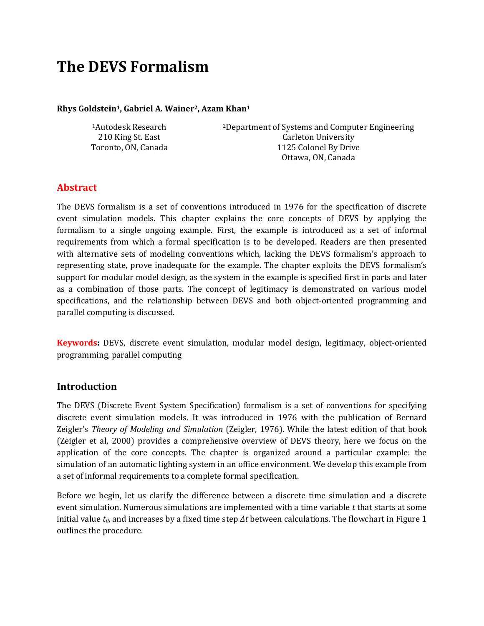# **The DEVS Formalism**

#### **Rhys Goldstein1, Gabriel A. Wainer2, Azam Khan<sup>1</sup>**

<sup>1</sup>Autodesk Research 210 King St. East Toronto, ON, Canada <sup>2</sup>Department of Systems and Computer Engineering Carleton University 1125 Colonel By Drive Ottawa, ON, Canada

#### **Abstract**

The DEVS formalism is a set of conventions introduced in 1976 for the specification of discrete event simulation models. This chapter explains the core concepts of DEVS by applying the formalism to a single ongoing example. First, the example is introduced as a set of informal requirements from which a formal specification is to be developed. Readers are then presented with alternative sets of modeling conventions which, lacking the DEVS formalism's approach to representing state, prove inadequate for the example. The chapter exploits the DEVS formalism's support for modular model design, as the system in the example is specified first in parts and later as a combination of those parts. The concept of legitimacy is demonstrated on various model specifications, and the relationship between DEVS and both object-oriented programming and parallel computing is discussed.

**Keywords:** DEVS, discrete event simulation, modular model design, legitimacy, object-oriented programming, parallel computing

#### **Introduction**

The DEVS (Discrete Event System Specification) formalism is a set of conventions for specifying discrete event simulation models. It was introduced in 1976 with the publication of Bernard Zeigler's *Theory of Modeling and Simulation* (Zeigler, 1976). While the latest edition of that book (Zeigler et al, 2000) provides a comprehensive overview of DEVS theory, here we focus on the application of the core concepts. The chapter is organized around a particular example: the simulation of an automatic lighting system in an office environment. We develop this example from a set of informal requirements to a complete formal specification.

Before we begin, let us clarify the difference between a discrete time simulation and a discrete event simulation. Numerous simulations are implemented with a time variable *t* that starts at some initial value *t0*, and increases by a fixed time step *Δt* between calculations. The flowchart in Figure 1 outlines the procedure.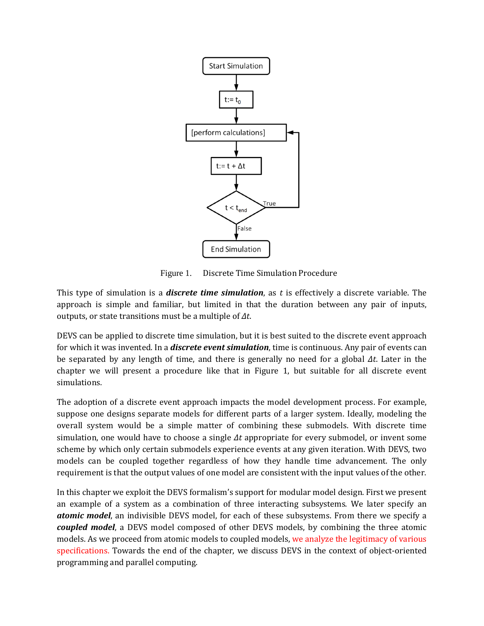

Figure 1. Discrete Time Simulation Procedure

This type of simulation is a *discrete time simulation*, as *t* is effectively a discrete variable. The approach is simple and familiar, but limited in that the duration between any pair of inputs, outputs, or state transitions must be a multiple of *Δt*.

DEVS can be applied to discrete time simulation, but it is best suited to the discrete event approach for which it was invented. In a *discrete event simulation*, time is continuous. Any pair of events can be separated by any length of time, and there is generally no need for a global *Δt*. Later in the chapter we will present a procedure like that in Figure 1, but suitable for all discrete event simulations.

The adoption of a discrete event approach impacts the model development process. For example, suppose one designs separate models for different parts of a larger system. Ideally, modeling the overall system would be a simple matter of combining these submodels. With discrete time simulation, one would have to choose a single *Δt* appropriate for every submodel, or invent some scheme by which only certain submodels experience events at any given iteration. With DEVS, two models can be coupled together regardless of how they handle time advancement. The only requirement is that the output values of one model are consistent with the input values of the other.

In this chapter we exploit the DEVS formalism's support for modular model design. First we present an example of a system as a combination of three interacting subsystems. We later specify an *atomic model*, an indivisible DEVS model, for each of these subsystems. From there we specify a *coupled model*, a DEVS model composed of other DEVS models, by combining the three atomic models. As we proceed from atomic models to coupled models, we analyze the legitimacy of various specifications. Towards the end of the chapter, we discuss DEVS in the context of object-oriented programming and parallel computing.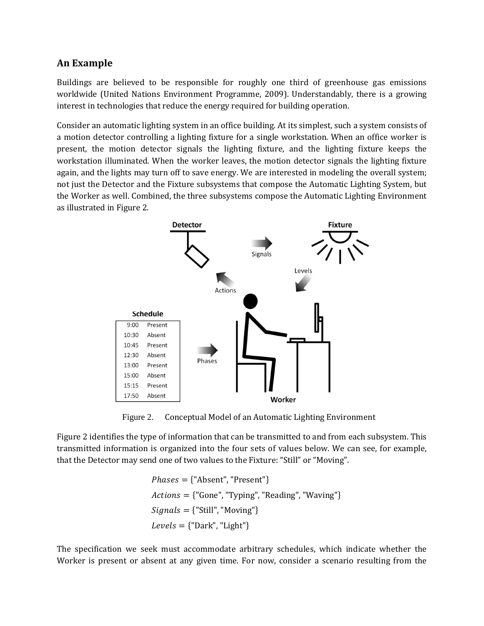# **An Example**

Buildings are believed to be responsible for roughly one third of greenhouse gas emissions worldwide (United Nations Environment Programme, 2009). Understandably, there is a growing interest in technologies that reduce the energy required for building operation.

Consider an automatic lighting system in an office building. At its simplest, such a system consists of a motion detector controlling a lighting fixture for a single workstation. When an office worker is present, the motion detector signals the lighting fixture, and the lighting fixture keeps the workstation illuminated. When the worker leaves, the motion detector signals the lighting fixture again, and the lights may turn off to save energy. We are interested in modeling the overall system; not just the Detector and the Fixture subsystems that compose the Automatic Lighting System, but the Worker as well. Combined, the three subsystems compose the Automatic Lighting Environment as illustrated in Figure 2.



Figure 2. Conceptual Model of an Automatic Lighting Environment

Figure 2 identifies the type of information that can be transmitted to and from each subsystem. This transmitted information is organized into the four sets of values below. We can see, for example, that the Detector may send one of two values to the Fixture: "Still" or "Moving".

```
Phases = {"Absent", "Present"}
  \textit{Actions} = \{\text{``Gone''}, \text{``Typing''}, \text{``Reading''}, \text{``Waving''}\}{\mathcal{S}ignals} = {"Still", "Moving"}
  Levels = {"Dark", "Light"}
```
The specification we seek must accommodate arbitrary schedules, which indicate whether the Worker is present or absent at any given time. For now, consider a scenario resulting from the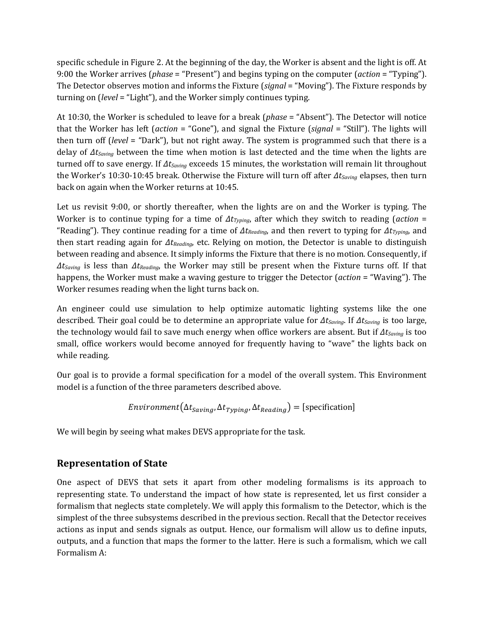specific schedule in Figure 2. At the beginning of the day, the Worker is absent and the light is off. At 9:00 the Worker arrives (*phase* = "Present") and begins typing on the computer (*action* = "Typing"). The Detector observes motion and informs the Fixture (*signal* = "Moving"). The Fixture responds by turning on (*level* = "Light"), and the Worker simply continues typing.

At 10:30, the Worker is scheduled to leave for a break (*phase* = "Absent"). The Detector will notice that the Worker has left (*action* = "Gone"), and signal the Fixture (*signal* = "Still"). The lights will then turn off (*level* = "Dark"), but not right away. The system is programmed such that there is a delay of *ΔtSaving* between the time when motion is last detected and the time when the lights are turned off to save energy. If *ΔtSaving* exceeds 15 minutes, the workstation will remain lit throughout the Worker's 10:30-10:45 break. Otherwise the Fixture will turn off after *ΔtSaving* elapses, then turn back on again when the Worker returns at 10:45.

Let us revisit 9:00, or shortly thereafter, when the lights are on and the Worker is typing. The Worker is to continue typing for a time of *ΔtTyping*, after which they switch to reading (*action* = "Reading"). They continue reading for a time of *ΔtReading*, and then revert to typing for *ΔtTyping*, and then start reading again for *ΔtReading*, etc. Relying on motion, the Detector is unable to distinguish between reading and absence. It simply informs the Fixture that there is no motion. Consequently, if *ΔtSaving* is less than *ΔtReading*, the Worker may still be present when the Fixture turns off. If that happens, the Worker must make a waving gesture to trigger the Detector (*action* = "Waving"). The Worker resumes reading when the light turns back on.

An engineer could use simulation to help optimize automatic lighting systems like the one described. Their goal could be to determine an appropriate value for *ΔtSaving*. If *ΔtSaving* is too large, the technology would fail to save much energy when office workers are absent. But if *ΔtSaving* is too small, office workers would become annoyed for frequently having to "wave" the lights back on while reading.

Our goal is to provide a formal specification for a model of the overall system. This Environment model is a function of the three parameters described above.

*Environment*
$$
(\Delta t_{Saving}, \Delta t_{Typing}, \Delta t_{Reading}) =
$$
 [specification]

We will begin by seeing what makes DEVS appropriate for the task.

# **Representation of State**

One aspect of DEVS that sets it apart from other modeling formalisms is its approach to representing state. To understand the impact of how state is represented, let us first consider a formalism that neglects state completely. We will apply this formalism to the Detector, which is the simplest of the three subsystems described in the previous section. Recall that the Detector receives actions as input and sends signals as output. Hence, our formalism will allow us to define inputs, outputs, and a function that maps the former to the latter. Here is such a formalism, which we call Formalism A: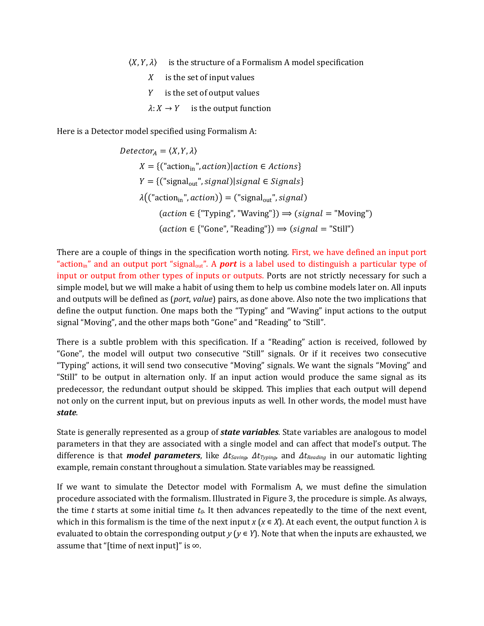- $\langle X, Y, \lambda \rangle$  is the structure of a Formalism A model specification
	- $X$  is the set of input values
	- $Y$  is the set of output values
	- $\lambda: X \to Y$  is the output function

Here is a Detector model specified using Formalism A:

$$
Detector_A = \langle X, Y, \lambda \rangle
$$
\n
$$
X = \{("action_{in", action)} | action \in Actions\}
$$
\n
$$
Y = \{("signal_{out", signal}) | signal \in Signals\}
$$
\n
$$
\lambda(("action_{in", action})) = ("signal_{out", signal})
$$
\n
$$
(action \in {'Typing", "Waving"} ) \implies (signal = "Moving")
$$
\n
$$
(action \in {'Gone", "Reading"} ) \implies (signal = "Still")
$$

There are a couple of things in the specification worth noting. First, we have defined an input port "action<sub>in</sub>" and an output port "signal<sub>out</sub>". A **port** is a label used to distinguish a particular type of input or output from other types of inputs or outputs. Ports are not strictly necessary for such a simple model, but we will make a habit of using them to help us combine models later on. All inputs and outputs will be defined as (*port*, *value*) pairs, as done above. Also note the two implications that define the output function. One maps both the "Typing" and "Waving" input actions to the output signal "Moving", and the other maps both "Gone" and "Reading" to "Still".

There is a subtle problem with this specification. If a "Reading" action is received, followed by "Gone", the model will output two consecutive "Still" signals. Or if it receives two consecutive "Typing" actions, it will send two consecutive "Moving" signals. We want the signals "Moving" and "Still" to be output in alternation only. If an input action would produce the same signal as its predecessor, the redundant output should be skipped. This implies that each output will depend not only on the current input, but on previous inputs as well. In other words, the model must have *state*.

State is generally represented as a group of *state variables*. State variables are analogous to model parameters in that they are associated with a single model and can affect that model's output. The difference is that *model parameters*, like *ΔtSaving*, *ΔtTyping*, and *ΔtReading* in our automatic lighting example, remain constant throughout a simulation. State variables may be reassigned.

If we want to simulate the Detector model with Formalism A, we must define the simulation procedure associated with the formalism. Illustrated in Figure 3, the procedure is simple. As always, the time *t* starts at some initial time *t0*. It then advances repeatedly to the time of the next event, which in this formalism is the time of the next input *x* ( $x \in X$ ). At each event, the output function  $\lambda$  is evaluated to obtain the corresponding output *y* ( $y \in Y$ ). Note that when the inputs are exhausted, we assume that "[time of next input]" is ∞.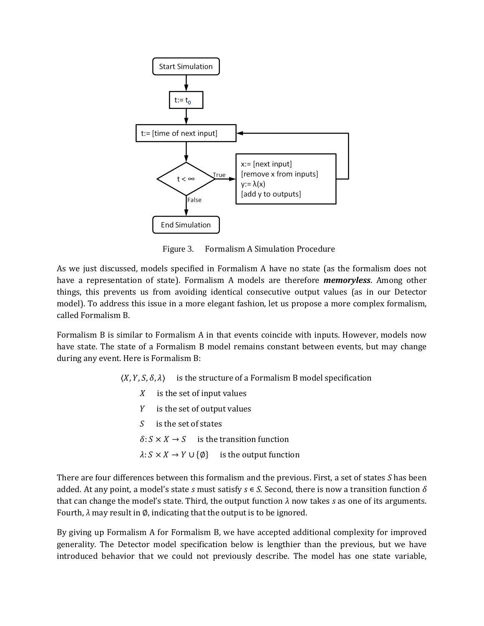

Figure 3. Formalism A Simulation Procedure

As we just discussed, models specified in Formalism A have no state (as the formalism does not have a representation of state). Formalism A models are therefore *memoryless*. Among other things, this prevents us from avoiding identical consecutive output values (as in our Detector model). To address this issue in a more elegant fashion, let us propose a more complex formalism, called Formalism B.

Formalism B is similar to Formalism A in that events coincide with inputs. However, models now have state. The state of a Formalism B model remains constant between events, but may change during any event. Here is Formalism B:

 $\langle X, Y, S, \delta, \lambda \rangle$  is the structure of a Formalism B model specification

- $X$  is the set of input values
- $Y$  is the set of output values
- $S$  is the set of states
- $\delta: S \times X \rightarrow S$  is the transition function
- $\lambda: S \times X \rightarrow Y \cup {\emptyset}$  is the output function

There are four differences between this formalism and the previous. First, a set of states *S* has been added. At any point, a model's state *s* must satisfy *s* ∊ *S*. Second, there is now a transition function *δ* that can change the model's state. Third, the output function  $\lambda$  now takes *s* as one of its arguments. Fourth, *λ* may result in ∅, indicating that the output is to be ignored.

By giving up Formalism A for Formalism B, we have accepted additional complexity for improved generality. The Detector model specification below is lengthier than the previous, but we have introduced behavior that we could not previously describe. The model has one state variable,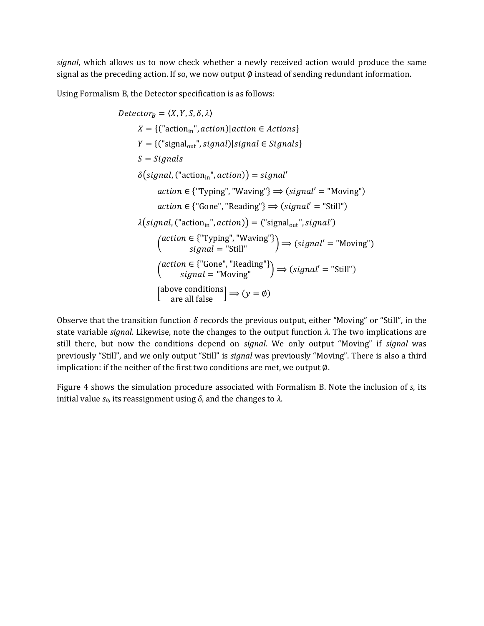*signal*, which allows us to now check whether a newly received action would produce the same signal as the preceding action. If so, we now output Ø instead of sending redundant information.

Using Formalism B, the Detector specification is as follows:

$$
Detector_B = \langle X, Y, S, \delta, \lambda \rangle
$$
  
\n
$$
X = \{("action_{in", action}) | action \in Actions \}
$$
  
\n
$$
Y = \{("signal_{out", signal}) | signal \in Signals \}
$$
  
\n
$$
S = Signals
$$
  
\n
$$
\delta(signal, ("action_{in", action)}) = signal'
$$
  
\n
$$
action \in \{ "Typing", "Waving"} \} \Rightarrow (signal' = "Moving")
$$
  
\n
$$
action \in \{ "Gone", "Reading"} \} \Rightarrow (signal' = "Still")
$$
  
\n
$$
\lambda(signal, ("action_{in", action})) = ("signal_{out", signal'})
$$
  
\n
$$
(action \in \{ "Typing", "Waving"} \} \Rightarrow (signal' = "Moving")
$$
  
\n
$$
(action \in \{ "Gone", "Reading"} \} \Rightarrow (signal' = "Still")
$$
  
\n
$$
(action \in \{ "Gone", "Reading"} \} \Rightarrow (signal' = "Still")
$$
  
\n
$$
[above conditions] \Rightarrow (y = \emptyset)
$$

Observe that the transition function *δ* records the previous output, either "Moving" or "Still", in the state variable *signal*. Likewise, note the changes to the output function *λ*. The two implications are still there, but now the conditions depend on *signal*. We only output "Moving" if *signal* was previously "Still", and we only output "Still" is *signal* was previously "Moving". There is also a third implication: if the neither of the first two conditions are met, we output ∅.

Figure 4 shows the simulation procedure associated with Formalism B. Note the inclusion of *s*, its initial value *s0*, its reassignment using *δ*, and the changes to *λ*.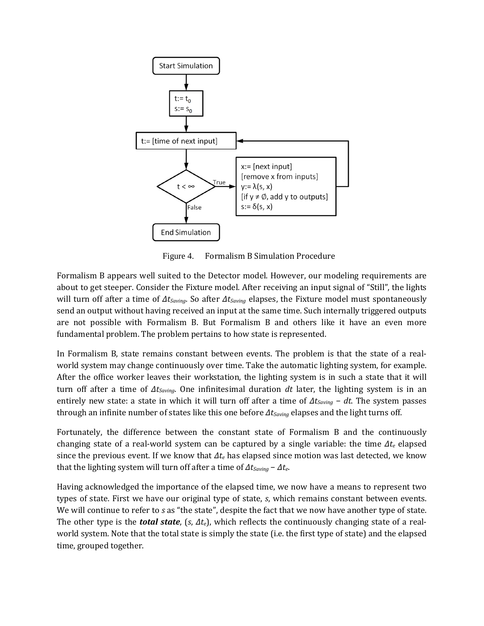

Figure 4. Formalism B Simulation Procedure

Formalism B appears well suited to the Detector model. However, our modeling requirements are about to get steeper. Consider the Fixture model. After receiving an input signal of "Still", the lights will turn off after a time of *ΔtSaving*. So after *ΔtSaving* elapses, the Fixture model must spontaneously send an output without having received an input at the same time. Such internally triggered outputs are not possible with Formalism B. But Formalism B and others like it have an even more fundamental problem. The problem pertains to how state is represented.

In Formalism B, state remains constant between events. The problem is that the state of a realworld system may change continuously over time. Take the automatic lighting system, for example. After the office worker leaves their workstation, the lighting system is in such a state that it will turn off after a time of *ΔtSaving*. One infinitesimal duration *dt* later, the lighting system is in an entirely new state: a state in which it will turn off after a time of *ΔtSaving* − *dt*. The system passes through an infinite number of states like this one before *ΔtSaving* elapses and the light turns off.

Fortunately, the difference between the constant state of Formalism B and the continuously changing state of a real-world system can be captured by a single variable: the time *Δte* elapsed since the previous event. If we know that *Δte* has elapsed since motion was last detected, we know that the lighting system will turn off after a time of *ΔtSaving* − *Δte*.

Having acknowledged the importance of the elapsed time, we now have a means to represent two types of state. First we have our original type of state, *s*, which remains constant between events. We will continue to refer to *s* as "the state", despite the fact that we now have another type of state. The other type is the *total state*, (*s*, *Δte*), which reflects the continuously changing state of a realworld system. Note that the total state is simply the state (i.e. the first type of state) and the elapsed time, grouped together.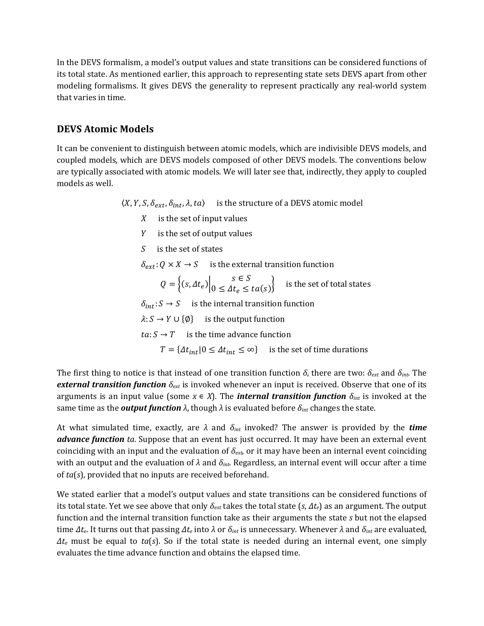In the DEVS formalism, a model's output values and state transitions can be considered functions of its total state. As mentioned earlier, this approach to representing state sets DEVS apart from other modeling formalisms. It gives DEVS the generality to represent practically any real-world system that varies in time.

#### **DEVS Atomic Models**

It can be convenient to distinguish between atomic models, which are indivisible DEVS models, and coupled models, which are DEVS models composed of other DEVS models. The conventions below are typically associated with atomic models. We will later see that, indirectly, they apply to coupled models as well.

 $\langle X, Y, S, \delta_{ext}, \delta_{int}, \lambda, ta \rangle$  is the structure of a DEVS atomic model

- $X$  is the set of input values
- $Y$  is the set of output values
- $S$  is the set of states

 $\delta_{ext} : Q \times X \to S$  is the external transition function

$$
Q = \left\{ (s, \Delta t_e) \Big| 0 \le \Delta t_e \le ta(s) \right\} \quad \text{is the set of total states}
$$

 $\delta_{int}: S \rightarrow S$  is the internal transition function

 $\lambda: S \to Y \cup \{\emptyset\}$  is the output function

 $ta: S \rightarrow T$  is the time advance function

 $T = \{\Delta t_{int} | 0 \leq \Delta t_{int} \leq \infty\}$  is the set of time durations

The first thing to notice is that instead of one transition function *δ*, there are two: *δext* and *δint*. The *external transition function δext* is invoked whenever an input is received. Observe that one of its arguments is an input value (some  $x \in X$ ). The *internal transition function*  $\delta_{int}$  is invoked at the same time as the *output function λ*, though *λ* is evaluated before *δint* changes the state.

At what simulated time, exactly, are *λ* and *δint* invoked? The answer is provided by the *time advance function ta*. Suppose that an event has just occurred. It may have been an external event coinciding with an input and the evaluation of *δext*, or it may have been an internal event coinciding with an output and the evaluation of *λ* and *δint*. Regardless, an internal event will occur after a time of *ta*(*s*), provided that no inputs are received beforehand.

We stated earlier that a model's output values and state transitions can be considered functions of its total state. Yet we see above that only *δext* takes the total state (*s*, *Δte*) as an argument. The output function and the internal transition function take as their arguments the state *s* but not the elapsed time *Δte*. It turns out that passing *Δte* into *λ* or *δint* is unnecessary. Whenever *λ* and *δint* are evaluated, *Δte* must be equal to *ta*(*s*). So if the total state is needed during an internal event, one simply evaluates the time advance function and obtains the elapsed time.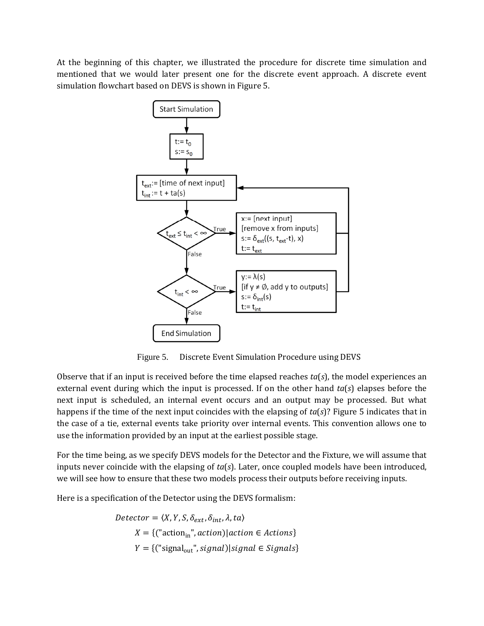At the beginning of this chapter, we illustrated the procedure for discrete time simulation and mentioned that we would later present one for the discrete event approach. A discrete event simulation flowchart based on DEVS is shown in Figure 5.



Figure 5. Discrete Event Simulation Procedure using DEVS

Observe that if an input is received before the time elapsed reaches *ta*(*s*), the model experiences an external event during which the input is processed. If on the other hand *ta*(*s*) elapses before the next input is scheduled, an internal event occurs and an output may be processed. But what happens if the time of the next input coincides with the elapsing of *ta*(*s*)? Figure 5 indicates that in the case of a tie, external events take priority over internal events. This convention allows one to use the information provided by an input at the earliest possible stage.

For the time being, as we specify DEVS models for the Detector and the Fixture, we will assume that inputs never coincide with the elapsing of *ta*(*s*). Later, once coupled models have been introduced, we will see how to ensure that these two models process their outputs before receiving inputs.

Here is a specification of the Detector using the DEVS formalism:

$$
Detector = \langle X, Y, S, \delta_{ext}, \delta_{int}, \lambda, ta \rangle
$$
  

$$
X = \{("actionin", action)|action \in Actions\}
$$
  

$$
Y = \{("signalout", signal)|signal \in Signals\}
$$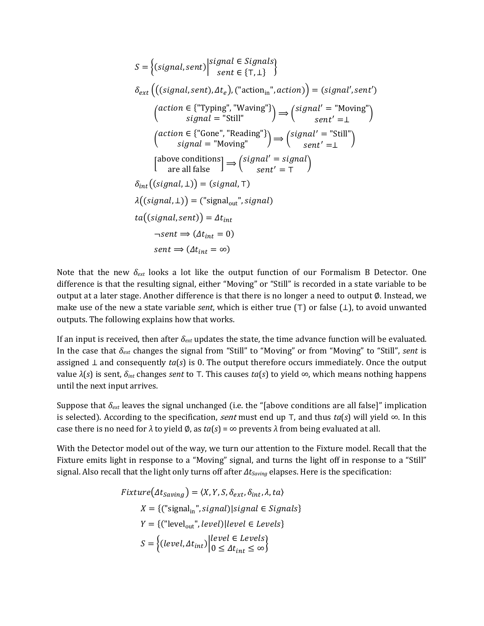$$
S = \left\{ (signal, sent) \middle| \begin{aligned} &\text{signal} \in \text{Signals} \\ &\text{sent} \in \{T, \perp\} \end{aligned} \right\} \\
\delta_{ext} \left( \left( (signal, sent), \Delta t_e \right), \left( \text{raction}_{\text{in}}^{\text{in}}, \text{action} \right) \right) = (signal', sent') \\
\left( \begin{aligned} &\text{action} \in \{ \text{``Typing''}, \text{``Waving''} \} \\ &\text{signal} = \text{``Still''} \\ &\text{signal} = \text{``Hoving''} \} \end{aligned} \right) \Rightarrow \left( \begin{aligned} &\text{signal'} = \text{``Moving''} \\ &\text{sent'} = \perp \\ &\text{start'} = \perp \end{aligned} \right) \\
\left( \begin{aligned} &\text{atomic} \in \{ \text{``Gone''}, \text{``Reading''} \} \\ &\text{signal} = \text{``Moving''} \\ &\text{send'} = \text{``Sfull''} \\ &\text{sent'} = \perp \end{aligned} \right) \\
\delta_{int} \left( (signal, \perp) \right) = (signal, \top) \\
\lambda \left( (signal, sent) \right) = ( \text{``signal''}, signal) \\
ta \left( (signal, sent) \right) = \Delta t_{int} \\
\text{``set"} = \Delta t_{int} \\
\text{``set"} = 0) \\
\text{sent} \Rightarrow (\Delta t_{int} = \infty)
$$

Note that the new *δext* looks a lot like the output function of our Formalism B Detector. One difference is that the resulting signal, either "Moving" or "Still" is recorded in a state variable to be output at a later stage. Another difference is that there is no longer a need to output ∅. Instead, we make use of the new a state variable *sent*, which is either true (⊤) or false (⊥), to avoid unwanted outputs. The following explains how that works.

If an input is received, then after *δext* updates the state, the time advance function will be evaluated. In the case that *δext* changes the signal from "Still" to "Moving" or from "Moving" to "Still", *sent* is assigned  $⊥$  and consequently  $ta(s)$  is 0. The output therefore occurs immediately. Once the output value *λ*(*s*) is sent, *δint* changes *sent* to ⊤. This causes *ta*(*s*) to yield ∞, which means nothing happens until the next input arrives.

Suppose that  $\delta_{ext}$  leaves the signal unchanged (i.e. the "[above conditions are all false]" implication is selected). According to the specification, *sent* must end up T, and thus *ta*(*s*) will yield ∞. In this case there is no need for  $\lambda$  to yield  $\emptyset$ , as  $ta(s) = \infty$  prevents  $\lambda$  from being evaluated at all.

With the Detector model out of the way, we turn our attention to the Fixture model. Recall that the Fixture emits light in response to a "Moving" signal, and turns the light off in response to a "Still" signal. Also recall that the light only turns off after  $\Delta t_{Saving}$  elapses. Here is the specification:

$$
Fixture(\Delta t_{Saving}) = \langle X, Y, S, \delta_{ext}, \delta_{int}, \lambda, ta \rangle
$$
  
\n
$$
X = \{("signal_{in", signal}) | signal \in Signals \}
$$
  
\n
$$
Y = \{("level_{out", level}) | level \in Levels \}
$$
  
\n
$$
S = \{ (level, \Delta t_{int}) | level \in Levels \}
$$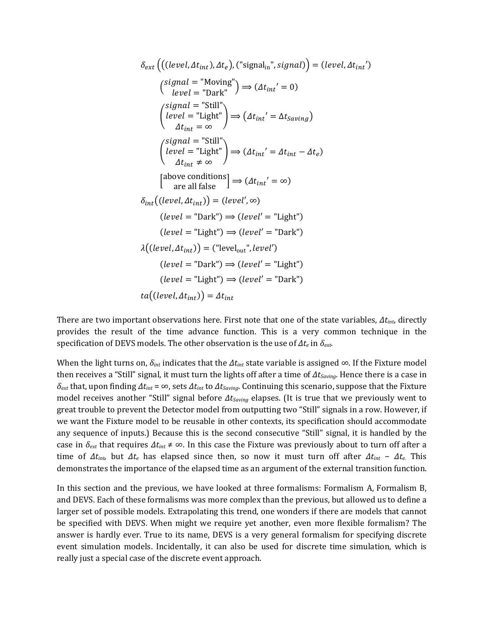$$
\delta_{ext}\left(((level, \Delta t_{int}), \Delta t_e), ("signalin", signal)\right) = (level, \Delta t_{int})
$$
\n
$$
\begin{aligned}\n\left(\begin{array}{c}\text{signal} = \text{"Moving"}\\ \text{level} = \text{"Dark"}\end{array}\right) &\Rightarrow (\Delta t_{int}' = 0) \\
\left(\begin{array}{c}\text{signal} = \text{"Still"}\\ \text{level} = \text{"Light"}\end{array}\right) &\Rightarrow (\Delta t_{int}' = \Delta t_{Saving}) \\
\Delta t_{int} = \infty\n\end{aligned}
$$
\n
$$
\begin{aligned}\n\left(\begin{array}{c}\text{signal} = \text{"Still"}\\ \text{depth} = \infty\end{array}\right) &\Rightarrow (\Delta t_{int}' = \Delta t_{int} - \Delta t_e) \\
\Delta t_{int} \neq \infty\n\end{aligned}
$$
\n
$$
\begin{aligned}\n\left(\begin{array}{c}\text{above conditions}\\ \text{are all false}\end{array}\right) &\Rightarrow (\Delta t_{int}' = \infty) \\
\delta_{int}((level, \Delta t_{int})) = (level', \infty) \\
(\text{level} = \text{"Dark"}) &\Rightarrow (level' = \text{"Light"}) \\
\lambda((level, \Delta t_{int})) = (\text{"level}' - \text{"Dark"}) \\
(\text{level} = \text{"Dark"}) &\Rightarrow (\text{level}' = \text{"Light"}) \\
(\text{level} = \text{"Light"}) &\Rightarrow (\text{level}' = \text{"Dark"}) \\
\delta_{int}(\text{level} = \text{"Light"}) &\Rightarrow (\text{level} = \text{"Dark"})\n\end{aligned}
$$

There are two important observations here. First note that one of the state variables, *Δtint*, directly provides the result of the time advance function. This is a very common technique in the specification of DEVS models. The other observation is the use of *Δte* in *δext*.

When the light turns on, *δint* indicates that the *Δtint* state variable is assigned ∞. If the Fixture model then receives a "Still" signal, it must turn the lights off after a time of *ΔtSaving*. Hence there is a case in *δext* that, upon finding *Δtint* = ∞, sets *Δtint* to *ΔtSaving*. Continuing this scenario, suppose that the Fixture model receives another "Still" signal before *ΔtSaving* elapses. (It is true that we previously went to great trouble to prevent the Detector model from outputting two "Still" signals in a row. However, if we want the Fixture model to be reusable in other contexts, its specification should accommodate any sequence of inputs.) Because this is the second consecutive "Still" signal, it is handled by the case in *δext* that requires *Δtint* ≠ ∞. In this case the Fixture was previously about to turn off after a time of  $\Delta t_{int}$ , but  $\Delta t_e$  has elapsed since then, so now it must turn off after  $\Delta t_{int}$  –  $\Delta t_e$ . This demonstrates the importance of the elapsed time as an argument of the external transition function.

In this section and the previous, we have looked at three formalisms: Formalism A, Formalism B, and DEVS. Each of these formalisms was more complex than the previous, but allowed us to define a larger set of possible models. Extrapolating this trend, one wonders if there are models that cannot be specified with DEVS. When might we require yet another, even more flexible formalism? The answer is hardly ever. True to its name, DEVS is a very general formalism for specifying discrete event simulation models. Incidentally, it can also be used for discrete time simulation, which is really just a special case of the discrete event approach.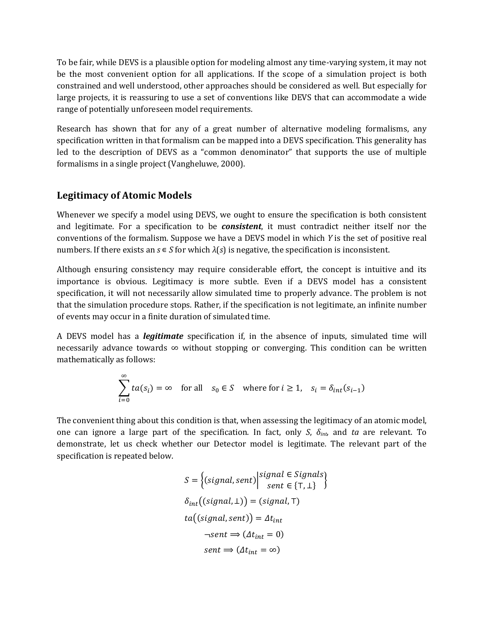To be fair, while DEVS is a plausible option for modeling almost any time-varying system, it may not be the most convenient option for all applications. If the scope of a simulation project is both constrained and well understood, other approaches should be considered as well. But especially for large projects, it is reassuring to use a set of conventions like DEVS that can accommodate a wide range of potentially unforeseen model requirements.

Research has shown that for any of a great number of alternative modeling formalisms, any specification written in that formalism can be mapped into a DEVS specification. This generality has led to the description of DEVS as a "common denominator" that supports the use of multiple formalisms in a single project (Vangheluwe, 2000).

#### **Legitimacy of Atomic Models**

Whenever we specify a model using DEVS, we ought to ensure the specification is both consistent and legitimate. For a specification to be *consistent*, it must contradict neither itself nor the conventions of the formalism. Suppose we have a DEVS model in which *Y* is the set of positive real numbers. If there exists an  $s \in S$  for which  $\lambda(s)$  is negative, the specification is inconsistent.

Although ensuring consistency may require considerable effort, the concept is intuitive and its importance is obvious. Legitimacy is more subtle. Even if a DEVS model has a consistent specification, it will not necessarily allow simulated time to properly advance. The problem is not that the simulation procedure stops. Rather, if the specification is not legitimate, an infinite number of events may occur in a finite duration of simulated time.

A DEVS model has a *legitimate* specification if, in the absence of inputs, simulated time will necessarily advance towards  $\infty$  without stopping or converging. This condition can be written mathematically as follows:

$$
\sum_{i=0}^{\infty} t a(s_i) = \infty \quad \text{for all} \quad s_0 \in S \quad \text{where for } i \ge 1, \quad s_i = \delta_{int}(s_{i-1})
$$

The convenient thing about this condition is that, when assessing the legitimacy of an atomic model, one can ignore a large part of the specification. In fact, only *S*, *δint*, and *ta* are relevant. To demonstrate, let us check whether our Detector model is legitimate. The relevant part of the specification is repeated below.

$$
S = \left\{ (signal, sent) \middle| \begin{aligned} signal \in Signals \\ sent \in \{T, \perp\} \end{aligned} \right\} \n\delta_{int} ((signal, \perp)) = (signal, T) \nta((signal, sent)) = \Delta t_{int} \n\neg sent \Rightarrow (\Delta t_{int} = 0) \nsent \Rightarrow (\Delta t_{int} = \infty)
$$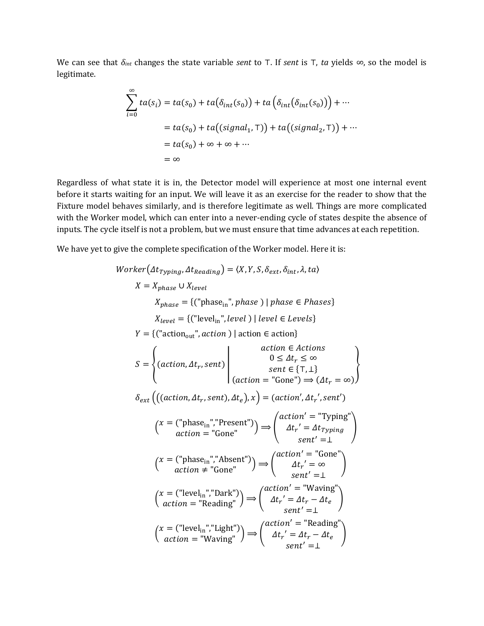We can see that *δint* changes the state variable *sent* to ⊤. If *sent* is ⊤, *ta* yields ∞, so the model is legitimate.

$$
\sum_{i=0}^{\infty} ta(s_i) = ta(s_0) + ta(\delta_{int}(s_0)) + ta(\delta_{int}(\delta_{int}(s_0))) + \cdots
$$
  
=  $ta(s_0) + ta((signal_1, T)) + ta((signal_2, T)) + \cdots$   
=  $ta(s_0) + \infty + \infty + \cdots$   
=  $\infty$ 

Regardless of what state it is in, the Detector model will experience at most one internal event before it starts waiting for an input. We will leave it as an exercise for the reader to show that the Fixture model behaves similarly, and is therefore legitimate as well. Things are more complicated with the Worker model, which can enter into a never-ending cycle of states despite the absence of inputs. The cycle itself is not a problem, but we must ensure that time advances at each repetition.

We have yet to give the complete specification of the Worker model. Here it is:

*Worker*(
$$
\Delta t_{Typing}
$$
,  $\Delta t_{Reading}$ ) =  $\langle X, Y, S, \delta_{ext}, \delta_{int}, \lambda, ta \rangle$   
\n $X = X_{phase} \cup X_{level}$   
\n $X_{phase} = \{("phase_{in}}, phase) | phase \in Phases\}$   
\n $X_{level} = \{("level_{in}}, level) | level \in Levels\}$   
\n $Y = \{("action_{out}}, action) | action \in action\}$   
\n $S = \begin{cases} (action, \Delta t_r, sent) & action \in Actions \\ (action = "Gone") \Rightarrow (\Delta t_r = \infty) \end{cases}$   
\n $\delta_{ext} \left( ((action, \Delta t_r, sent), \Delta t_e), x \right) = (action', \Delta t_r', sent')$   
\n $(x = ("phase_{in",} "Present")) \Rightarrow \begin{pmatrix} action' = "Typing" \\ \Delta t_r' = \Delta t_{Typing} \\ sent' = 1 \end{pmatrix}$   
\n $(x = ("phase_{in",} "Absent")) \Rightarrow \begin{pmatrix} action' = "Gone" \\ \Delta t_r' = \infty \\ sent' = 1 \end{pmatrix}$   
\n $(x = ("level_{in",} "Bank") \Rightarrow \begin{pmatrix} action' = "Waving" \\ \Delta t_r' = \infty \\ sent' = 1 \end{pmatrix}$   
\n $(x = ("level_{in",} "Dark") \Rightarrow \begin{pmatrix} action' = "Waving" \\ \Delta t_r' = \Delta t_r - \Delta t_e \\ sent' = 1 \end{pmatrix}$   
\n $(x = ("level_{in",} "Light") \Rightarrow \begin{pmatrix} action' = "Reading" \\ \Delta t_r' = \Delta t_r - \Delta t_e \\ sent' = 1 \end{pmatrix}$   
\n $(x = ("level_{in",} "Light") \Rightarrow \begin{pmatrix} action' = "Reading" \\ \Delta t_r' = \Delta t_r - \Delta t_e \\ sent' = 1 \end{pmatrix}$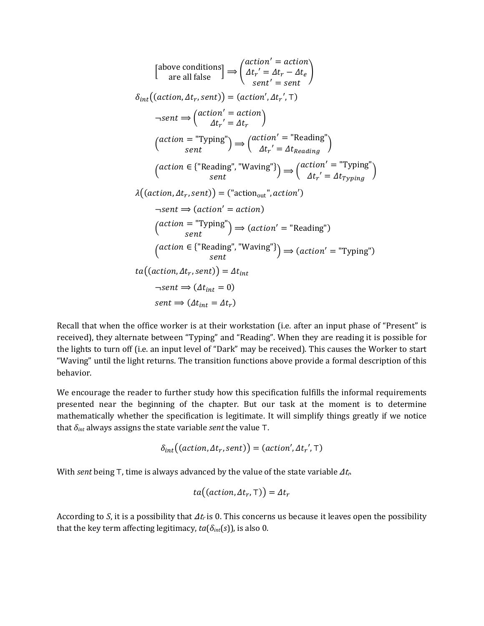$$
\begin{aligned}\n\begin{bmatrix}\n\text{above conditions} \\
\text{are all false}\n\end{bmatrix} &\Rightarrow \begin{pmatrix}\n\alpha t i n' = \alpha t i n \\
\Delta t r' = \Delta t r - \Delta t e \\
\text{sent} \end{pmatrix} \\
\delta_{int}((action, \Delta t_r, sent)) &= (action', \Delta t_r', T) \\
\neg sent \Rightarrow \begin{pmatrix}\n\alpha t i i n' = \alpha t i n \\
\Delta t r' = \Delta t r\n\end{pmatrix} \\
\text{(action = "Typing")} &\Rightarrow \begin{pmatrix}\n\alpha t i i n' = \text{"Reading"} \\
\Delta t r' = \Delta t_{Reading}\n\end{pmatrix} \\
\text{(action = {"Reading", "Waving"})} &\Rightarrow \begin{pmatrix}\n\alpha t i i n' = \text{``Typing"} \\
\Delta t r' = \Delta t_{Typing}\n\end{pmatrix} \\
\lambda((action, \Delta t_r, sent)) &= (\text{"action}) \\
\neg sent \Rightarrow (action = action)\n\end{aligned} \\
\text{(action = "Typing")} &\Rightarrow (action' = \text{``Reading")}\n\text{(action = {"Reading", "Waving"})} \Rightarrow (action' = \text{``Typing")}\n\end{aligned}
$$
\n
$$
\begin{aligned}\n\text{(action = {``Reading", "Waving"})} &\Rightarrow (action' = \text{``Typing")}\n\end{aligned}
$$
\n
$$
ta((action, \Delta t_r, sent)) = \Delta t_{int} \\
\neg sent \Rightarrow (\Delta t_{int} = 0) \\
\text{sent} \Rightarrow (\Delta t_{int} = \Delta t_r)\n\end{aligned}
$$

Recall that when the office worker is at their workstation (i.e. after an input phase of "Present" is received), they alternate between "Typing" and "Reading". When they are reading it is possible for the lights to turn off (i.e. an input level of "Dark" may be received). This causes the Worker to start "Waving" until the light returns. The transition functions above provide a formal description of this behavior.

We encourage the reader to further study how this specification fulfills the informal requirements presented near the beginning of the chapter. But our task at the moment is to determine mathematically whether the specification is legitimate. It will simplify things greatly if we notice that *δint* always assigns the state variable *sent* the value ⊤.

$$
\delta_{int}((action, \Delta t_r, sent)) = (action', \Delta t_r', \top)
$$

With *sent* being  $\top$ , time is always advanced by the value of the state variable  $\Delta t_r$ .

$$
ta((action, \Delta t_r, \mathsf{T})) = \Delta t_r
$$

According to *S*, it is a possibility that  $\Delta t_r$  is 0. This concerns us because it leaves open the possibility that the key term affecting legitimacy,  $ta(\delta_{int}(s))$ , is also 0.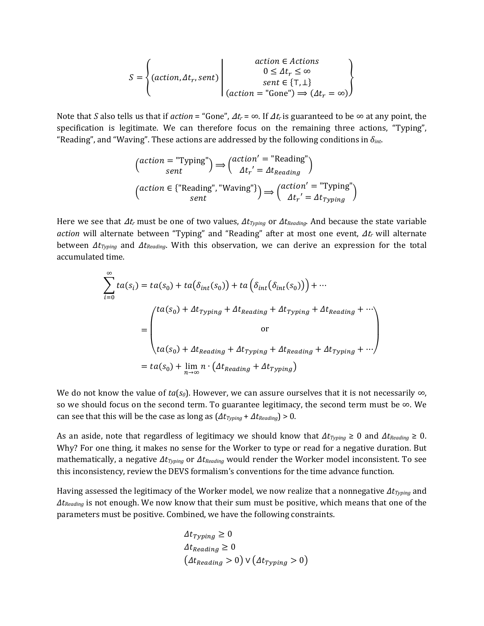$$
S = \left\{ (action, \Delta t_r, sent) \middle| \begin{array}{c} action \in Actions \\ 0 \leq \Delta t_r \leq \infty \\ sent \in \{T, \perp\} \\ (action = "Gone") \Rightarrow (\Delta t_r = \infty) \end{array} \right\}
$$

Note that *S* also tells us that if *action* = "Gone",  $\Delta t_r = \infty$ . If  $\Delta t_r$  is guaranteed to be  $\infty$  at any point, the specification is legitimate. We can therefore focus on the remaining three actions, "Typing", "Reading", and "Waving". These actions are addressed by the following conditions in *δint*.

$$
\begin{aligned}\n\left(\begin{matrix}\n\text{action} = \text{"Typing"} \\
\text{sent}\n\end{matrix}\right) &\Rightarrow \left(\begin{matrix}\n\text{action'} = \text{"Reading"} \\
\Delta t_r' = \Delta t_{Reading}\n\end{matrix}\right) \\
\left(\begin{matrix}\n\text{action} \in \{\text{"Reading", \text{"Waving"}}\}\n\end{matrix}\right) &\Rightarrow \left(\begin{matrix}\n\text{action'} = \text{"Typing"} \\
\Delta t_r' = \Delta t_{Typing}\n\end{matrix}\right)\n\end{aligned}
$$

Here we see that Δtr must be one of two values, *ΔtTyping* or *ΔtReading*. And because the state variable *action* will alternate between "Typing" and "Reading" after at most one event, Δt<sub>r</sub> will alternate between *ΔtTyping* and *ΔtReading*. With this observation, we can derive an expression for the total accumulated time.

$$
\sum_{i=0}^{\infty} ta(s_i) = ta(s_0) + ta(\delta_{int}(s_0)) + ta(\delta_{int}(\delta_{int}(s_0))) + \cdots
$$
\n
$$
= \begin{pmatrix} ta(s_0) + \Delta t_{Typing} + \Delta t_{Reading} + \Delta t_{Typing} + \Delta t_{Reading} + \cdots \\ or \\ ta(s_0) + \Delta t_{Reading} + \Delta t_{Typing} + \Delta t_{Reading} + \Delta t_{Typing} + \cdots \end{pmatrix}
$$
\n
$$
= ta(s_0) + \lim_{n \to \infty} n \cdot (\Delta t_{Reading} + \Delta t_{Typing})
$$

We do not know the value of  $ta(s_0)$ . However, we can assure ourselves that it is not necessarily  $\infty$ , so we should focus on the second term. To guarantee legitimacy, the second term must be  $\infty$ . We can see that this will be the case as long as (*ΔtTyping* + *ΔtReading*) > 0.

As an aside, note that regardless of legitimacy we should know that *ΔtTyping* ≥ 0 and *ΔtReading* ≥ 0. Why? For one thing, it makes no sense for the Worker to type or read for a negative duration. But mathematically, a negative *ΔtTyping* or *ΔtReading* would render the Worker model inconsistent. To see this inconsistency, review the DEVS formalism's conventions for the time advance function.

Having assessed the legitimacy of the Worker model, we now realize that a nonnegative *ΔtTyping* and *ΔtReading* is not enough. We now know that their sum must be positive, which means that one of the parameters must be positive. Combined, we have the following constraints.

$$
\Delta t_{Typing} \ge 0
$$
  
\n
$$
\Delta t_{Reading} \ge 0
$$
  
\n
$$
(\Delta t_{Reading} > 0) \vee (\Delta t_{Typing} > 0)
$$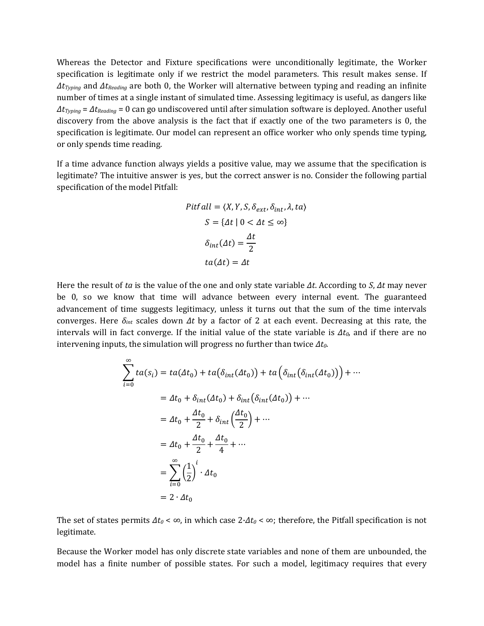Whereas the Detector and Fixture specifications were unconditionally legitimate, the Worker specification is legitimate only if we restrict the model parameters. This result makes sense. If *ΔtTyping* and *ΔtReading* are both 0, the Worker will alternative between typing and reading an infinite number of times at a single instant of simulated time. Assessing legitimacy is useful, as dangers like *ΔtTyping* = *ΔtReading* = 0 can go undiscovered until after simulation software is deployed. Another useful discovery from the above analysis is the fact that if exactly one of the two parameters is 0, the specification is legitimate. Our model can represent an office worker who only spends time typing, or only spends time reading.

If a time advance function always yields a positive value, may we assume that the specification is legitimate? The intuitive answer is yes, but the correct answer is no. Consider the following partial specification of the model Pitfall:

$$
Pitfall = \langle X, Y, S, \delta_{ext}, \delta_{int}, \lambda, ta \rangle
$$

$$
S = \{ \Delta t \mid 0 < \Delta t \leq \infty \}
$$

$$
\delta_{int}(\Delta t) = \frac{\Delta t}{2}
$$

$$
ta(\Delta t) = \Delta t
$$

Here the result of *ta* is the value of the one and only state variable *Δt*. According to *S*, *Δt* may never be 0, so we know that time will advance between every internal event. The guaranteed advancement of time suggests legitimacy, unless it turns out that the sum of the time intervals converges. Here *δint* scales down *Δt* by a factor of 2 at each event. Decreasing at this rate, the intervals will in fact converge. If the initial value of the state variable is *Δt0*, and if there are no intervening inputs, the simulation will progress no further than twice *Δt0*.

$$
\sum_{i=0}^{\infty} ta(s_i) = ta(\Delta t_0) + ta(\delta_{int}(\Delta t_0)) + ta(\delta_{int}(\delta_{int}(\Delta t_0))) + \cdots
$$
  
\n
$$
= \Delta t_0 + \delta_{int}(\Delta t_0) + \delta_{int}(\delta_{int}(\Delta t_0)) + \cdots
$$
  
\n
$$
= \Delta t_0 + \frac{\Delta t_0}{2} + \delta_{int}(\frac{\Delta t_0}{2}) + \cdots
$$
  
\n
$$
= \Delta t_0 + \frac{\Delta t_0}{2} + \frac{\Delta t_0}{4} + \cdots
$$
  
\n
$$
= \sum_{i=0}^{\infty} (\frac{1}{2})^i \cdot \Delta t_0
$$
  
\n
$$
= 2 \cdot \Delta t_0
$$

The set of states permits  $\Delta t_0 < \infty$ , in which case  $2 \cdot \Delta t_0 < \infty$ ; therefore, the Pitfall specification is not legitimate.

Because the Worker model has only discrete state variables and none of them are unbounded, the model has a finite number of possible states. For such a model, legitimacy requires that every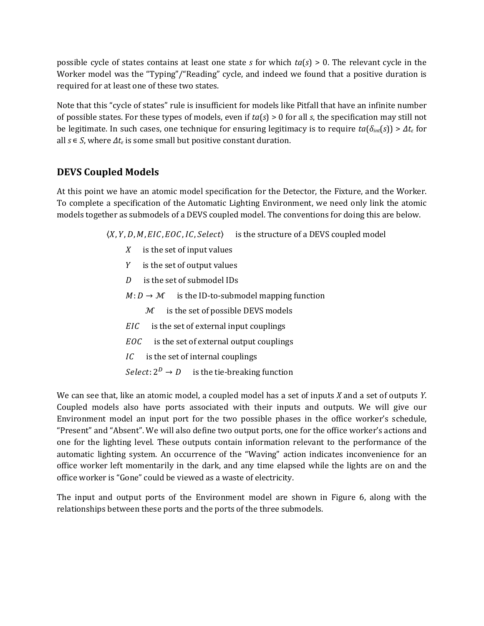possible cycle of states contains at least one state *s* for which *ta*(*s*) > 0. The relevant cycle in the Worker model was the "Typing"/"Reading" cycle, and indeed we found that a positive duration is required for at least one of these two states.

Note that this "cycle of states" rule is insufficient for models like Pitfall that have an infinite number of possible states. For these types of models, even if *ta*(*s*) > 0 for all *s*, the specification may still not be legitimate. In such cases, one technique for ensuring legitimacy is to require  $ta(\delta_{int}(s)) > \Delta t_{\epsilon}$  for all  $s \in S$ , where  $\Delta t_{\varepsilon}$  is some small but positive constant duration.

# **DEVS Coupled Models**

At this point we have an atomic model specification for the Detector, the Fixture, and the Worker. To complete a specification of the Automatic Lighting Environment, we need only link the atomic models together as submodels of a DEVS coupled model. The conventions for doing this are below.

 $\langle X, Y, D, M, EIC, EOC, IC, Select \rangle$  is the structure of a DEVS coupled model

- $X$  is the set of input values
- $Y$  is the set of output values
- $D$  is the set of submodel IDs
- $M: D \to M$  is the ID-to-submodel mapping function
	- $M$  is the set of possible DEVS models
- $EIC$  is the set of external input couplings
- $EOC$  is the set of external output couplings
- $\overline{IC}$  is the set of internal couplings

 $Select: 2^D \rightarrow D$  is the tie-breaking function

We can see that, like an atomic model, a coupled model has a set of inputs *X* and a set of outputs *Y*. Coupled models also have ports associated with their inputs and outputs. We will give our Environment model an input port for the two possible phases in the office worker's schedule, "Present" and "Absent". We will also define two output ports, one for the office worker's actions and one for the lighting level. These outputs contain information relevant to the performance of the automatic lighting system. An occurrence of the "Waving" action indicates inconvenience for an office worker left momentarily in the dark, and any time elapsed while the lights are on and the office worker is "Gone" could be viewed as a waste of electricity.

The input and output ports of the Environment model are shown in Figure 6, along with the relationships between these ports and the ports of the three submodels.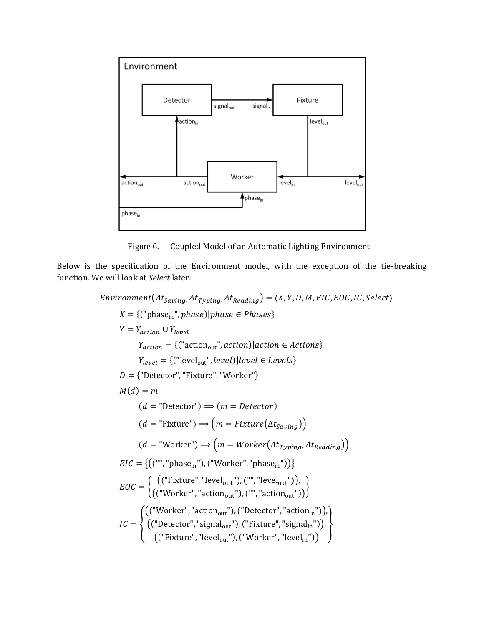

Figure 6. Coupled Model of an Automatic Lighting Environment

Below is the specification of the Environment model, with the exception of the tie-breaking function. We will look at *Select* later.

 $Environment(\Delta t_{Saving}, \Delta t_{Typing}, \Delta t_{Reading}) = \langle X, Y, D, M, EIC, EOC, IC, Select \rangle$  $X = \{('phase_{in}', phase) | phase \in Phases\}$  $Y = Y_{action} \cup Y_{level}$  $Y_{action} = \{("action_{out}" , action)| action \in Actions\}$  $Y_{level} = \{("level_{out}" , level)} | level \in Levels\}$  $D = \{$ "Detector", "Fixture", "Worker"}  $M(d) = m$  $(d = "Detector") \Rightarrow (m = Detector)$  $(d = "Fixture") \Longrightarrow (m = Fixture(\Delta t_{Saving}))$  $T(d = "Worker") \Longrightarrow (m = Worker(\Delta t_{Typing}, \Delta t_{Reading}))$  $EIC = \{(("", "phase<sub>in</sub>"), ("Worker", "phase<sub>in</sub>")\}$  $EOC = \begin{cases} ($ ("Fixture", "level<sub>out</sub>"), ("", "level<sub>out</sub>")),<br> $EOC = \begin{cases} ($ "Werker", "estien = "), ("", "estien = ")  $\left($  ("Worker", "action<sub>out</sub>"), ("", "action<sub>out</sub>")) $\right)$  $\iota = \{$ (("Worker", "action<sub>out</sub>"), ("Detector", "action<sub>in</sub>")), (("Detector", "signal<sub>out</sub>"), ("Fixture", "signal<sub>in</sub>")), (("Fixture", "level<sub>out</sub>"), ("Worker", "level<sub>in</sub>")) ò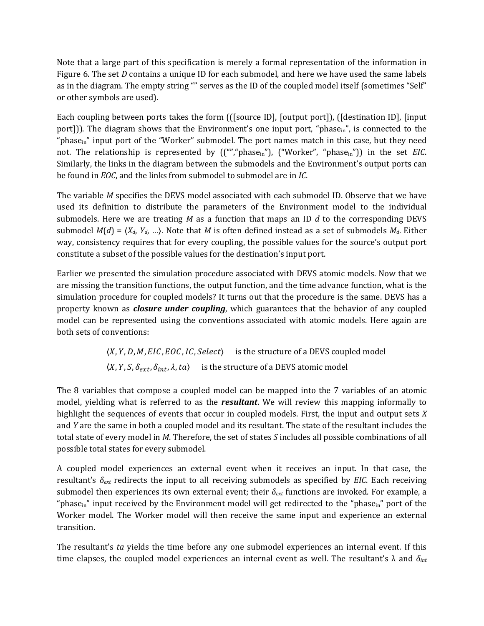Note that a large part of this specification is merely a formal representation of the information in Figure 6. The set *D* contains a unique ID for each submodel, and here we have used the same labels as in the diagram. The empty string "" serves as the ID of the coupled model itself (sometimes "Self" or other symbols are used).

Each coupling between ports takes the form (([source ID], [output port]), ([destination ID], [input port])). The diagram shows that the Environment's one input port, "phase $_{\rm in}$ ", is connected to the "phase<sub>in</sub>" input port of the "Worker" submodel. The port names match in this case, but they need not. The relationship is represented by  $((\cdot\cdot\cdot\cdot)$  phase<sub>in</sub>"),  $(\cdot\cdot\cdot\cdot\cdot\cdot)$  worker",  $(\cdot\cdot\cdot\cdot\cdot\cdot\cdot)$  in the set *EIC*. Similarly, the links in the diagram between the submodels and the Environment's output ports can be found in *EOC*, and the links from submodel to submodel are in *IC*.

The variable *M* specifies the DEVS model associated with each submodel ID. Observe that we have used its definition to distribute the parameters of the Environment model to the individual submodels. Here we are treating *M* as a function that maps an ID *d* to the corresponding DEVS submodel  $M(d) = \langle X_d, Y_d, \ldots \rangle$ . Note that *M* is often defined instead as a set of submodels  $M_d$ . Either way, consistency requires that for every coupling, the possible values for the source's output port constitute a subset of the possible values for the destination's input port.

Earlier we presented the simulation procedure associated with DEVS atomic models. Now that we are missing the transition functions, the output function, and the time advance function, what is the simulation procedure for coupled models? It turns out that the procedure is the same. DEVS has a property known as *closure under coupling*, which guarantees that the behavior of any coupled model can be represented using the conventions associated with atomic models. Here again are both sets of conventions:

> $\langle X, Y, D, M, EIC, EOC, IC, Select \rangle$  is the structure of a DEVS coupled model  $\langle X, Y, S, \delta_{ext}, \delta_{int}, \lambda, ta \rangle$  is the structure of a DEVS atomic model

The 8 variables that compose a coupled model can be mapped into the 7 variables of an atomic model, yielding what is referred to as the *resultant*. We will review this mapping informally to highlight the sequences of events that occur in coupled models. First, the input and output sets *X* and *Y* are the same in both a coupled model and its resultant. The state of the resultant includes the total state of every model in *M*. Therefore, the set of states *S* includes all possible combinations of all possible total states for every submodel.

A coupled model experiences an external event when it receives an input. In that case, the resultant's *δext* redirects the input to all receiving submodels as specified by *EIC*. Each receiving submodel then experiences its own external event; their *δext* functions are invoked. For example, a "phase<sub>in</sub>" input received by the Environment model will get redirected to the "phase<sub>in</sub>" port of the Worker model. The Worker model will then receive the same input and experience an external transition.

The resultant's *ta* yields the time before any one submodel experiences an internal event. If this time elapses, the coupled model experiences an internal event as well. The resultant's λ and *δint*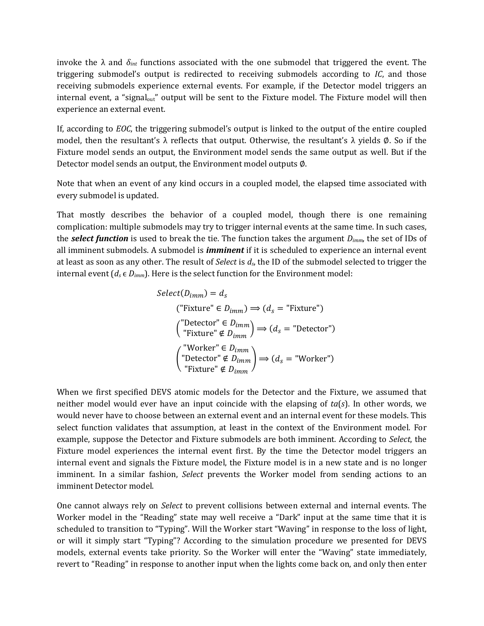invoke the  $\lambda$  and  $\delta_{int}$  functions associated with the one submodel that triggered the event. The triggering submodel's output is redirected to receiving submodels according to *IC*, and those receiving submodels experience external events. For example, if the Detector model triggers an internal event, a "signal<sub>out</sub>" output will be sent to the Fixture model. The Fixture model will then experience an external event.

If, according to *EOC*, the triggering submodel's output is linked to the output of the entire coupled model, then the resultant's λ reflects that output. Otherwise, the resultant's λ yields  $\emptyset$ . So if the Fixture model sends an output, the Environment model sends the same output as well. But if the Detector model sends an output, the Environment model outputs ∅.

Note that when an event of any kind occurs in a coupled model, the elapsed time associated with every submodel is updated.

That mostly describes the behavior of a coupled model, though there is one remaining complication: multiple submodels may try to trigger internal events at the same time. In such cases, the *select function* is used to break the tie. The function takes the argument *Dimm*, the set of IDs of all imminent submodels. A submodel is *imminent* if it is scheduled to experience an internal event at least as soon as any other. The result of *Select* is *ds*, the ID of the submodel selected to trigger the internal event  $(d_s \in D_{imm})$ . Here is the select function for the Environment model:

$$
Select(D_{imm}) = d_s
$$
  
\n("Fixture"  $\in D_{imm}$ )  $\Rightarrow$   $(d_s = "Fixture")$   
\n("Detector"  $\in D_{imm}$ )  $\Rightarrow$   $(d_s = "Detector")$   
\n("Fixture"  $\notin D_{imm}$ )  $\Rightarrow$   $(d_s = "Worker")$   
\n("Detector"  $\notin D_{imm}$ )  $\Rightarrow$   $(d_s = "Worker")$   
\n"Fixture"  $\notin D_{imm}$ 

When we first specified DEVS atomic models for the Detector and the Fixture, we assumed that neither model would ever have an input coincide with the elapsing of *ta*(*s*). In other words, we would never have to choose between an external event and an internal event for these models. This select function validates that assumption, at least in the context of the Environment model. For example, suppose the Detector and Fixture submodels are both imminent. According to *Select*, the Fixture model experiences the internal event first. By the time the Detector model triggers an internal event and signals the Fixture model, the Fixture model is in a new state and is no longer imminent. In a similar fashion, *Select* prevents the Worker model from sending actions to an imminent Detector model.

One cannot always rely on *Select* to prevent collisions between external and internal events. The Worker model in the "Reading" state may well receive a "Dark" input at the same time that it is scheduled to transition to "Typing". Will the Worker start "Waving" in response to the loss of light, or will it simply start "Typing"? According to the simulation procedure we presented for DEVS models, external events take priority. So the Worker will enter the "Waving" state immediately, revert to "Reading" in response to another input when the lights come back on, and only then enter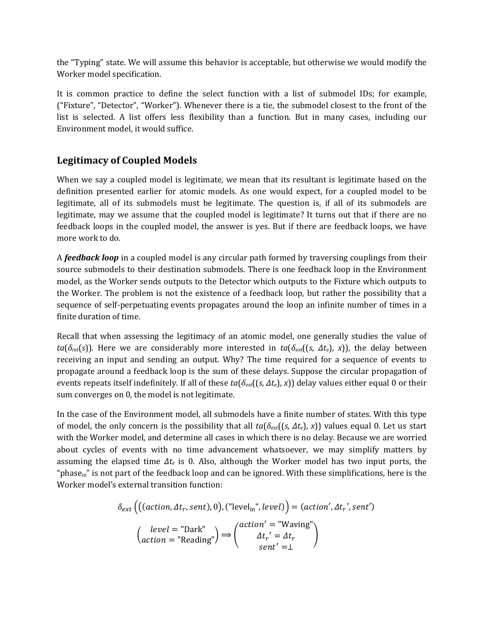the "Typing" state. We will assume this behavior is acceptable, but otherwise we would modify the Worker model specification.

It is common practice to define the select function with a list of submodel IDs; for example, ("Fixture", "Detector", "Worker"). Whenever there is a tie, the submodel closest to the front of the list is selected. A list offers less flexibility than a function. But in many cases, including our Environment model, it would suffice.

# **Legitimacy of Coupled Models**

When we say a coupled model is legitimate, we mean that its resultant is legitimate based on the definition presented earlier for atomic models. As one would expect, for a coupled model to be legitimate, all of its submodels must be legitimate. The question is, if all of its submodels are legitimate, may we assume that the coupled model is legitimate? It turns out that if there are no feedback loops in the coupled model, the answer is yes. But if there are feedback loops, we have more work to do.

A *feedback loop* in a coupled model is any circular path formed by traversing couplings from their source submodels to their destination submodels. There is one feedback loop in the Environment model, as the Worker sends outputs to the Detector which outputs to the Fixture which outputs to the Worker. The problem is not the existence of a feedback loop, but rather the possibility that a sequence of self-perpetuating events propagates around the loop an infinite number of times in a finite duration of time.

Recall that when assessing the legitimacy of an atomic model, one generally studies the value of *ta*( $\delta$ <sub>*int*</sub>(*s*)). Here we are considerably more interested in *ta*( $\delta$ <sub>*ext*</sub>((*s*,  $\Delta t_e$ ), *x*)), the delay between receiving an input and sending an output. Why? The time required for a sequence of events to propagate around a feedback loop is the sum of these delays. Suppose the circular propagation of events repeats itself indefinitely. If all of these  $ta(\delta_{ext}((s, \Delta t_e), x))$  delay values either equal 0 or their sum converges on 0, the model is not legitimate.

In the case of the Environment model, all submodels have a finite number of states. With this type of model, the only concern is the possibility that all *ta*(*δext*((*s*, *Δte*), *x*)) values equal 0. Let us start with the Worker model, and determine all cases in which there is no delay. Because we are worried about cycles of events with no time advancement whatsoever, we may simplify matters by assuming the elapsed time *Δte* is 0. Also, although the Worker model has two input ports, the "phase $_{\rm in}$ " is not part of the feedback loop and can be ignored. With these simplifications, here is the Worker model's external transition function:

$$
\delta_{ext}\left(\left((action, \Delta t_r, sent), 0\right), \left("level_{in", level}\right) = (action', \Delta t_r', sent')\right)
$$

$$
\left(\begin{array}{c} level = "Dark"\n\end{array}\right) \Longrightarrow \left(\begin{array}{c} action' = "Waving"\n\Delta t_r' = \Delta t_r\n\end{array}\right)
$$

$$
= "Reading") \Longrightarrow \left(\begin{array}{c} action' = "Waving"\n\Delta t_r' = \Delta t_r\n\end{array}\right)
$$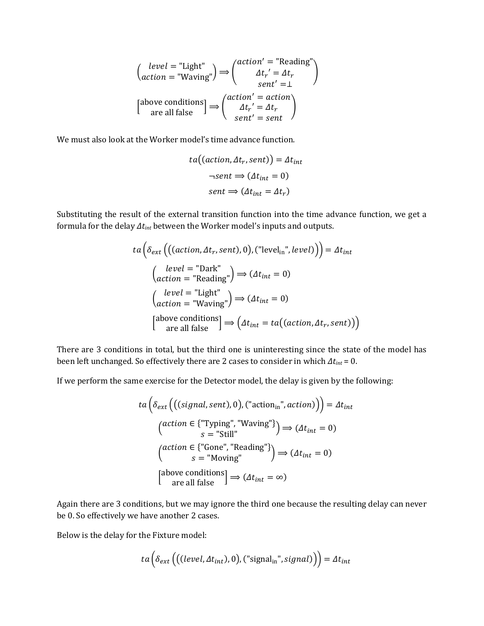$$
\begin{pmatrix} level = "Light" \\ action = "Waving" \end{pmatrix} \Rightarrow \begin{pmatrix} action' = "Reading" \\ \Delta t_r' = \Delta t_r \\ sent' = \bot \end{pmatrix}
$$
  
[above conditions] 
$$
\Rightarrow \begin{pmatrix} action' = action \\ \Delta t_r' = \Delta t_r \\ sent' = sent \end{pmatrix}
$$

We must also look at the Worker model's time advance function.

$$
ta((action, \Delta t_r, sent)) = \Delta t_{int}
$$

$$
\neg sent \Rightarrow (\Delta t_{int} = 0)
$$

$$
sent \Rightarrow (\Delta t_{int} = \Delta t_r)
$$

Substituting the result of the external transition function into the time advance function, we get a formula for the delay *Δtint* between the Worker model's inputs and outputs.

$$
ta\left(\delta_{ext}\left(\left((action, \Delta t_r, sent), 0\right), \left("level_{in", level})\right)\right) = \Delta t_{int}
$$
\n
$$
\begin{pmatrix} level = "Dark" \\ action = "Reading"\end{pmatrix} \Rightarrow (\Delta t_{int} = 0)
$$
\n
$$
\begin{pmatrix} level = "Light" \\ action = "Waving"\end{pmatrix} \Rightarrow (\Delta t_{int} = 0)
$$
\n[above conditions]  $\Rightarrow (\Delta t_{int} = ta((action, \Delta t_r, sent)) )$ 

There are 3 conditions in total, but the third one is uninteresting since the state of the model has been left unchanged. So effectively there are 2 cases to consider in which *Δtint* = 0.

If we perform the same exercise for the Detector model, the delay is given by the following:

$$
ta\left(\delta_{ext}\left(\left((signal, sent), 0\right), \left(\text{"action}_{in}, \text{"action}\right)\right)\right) = \Delta t_{int}
$$
\n
$$
\left(\begin{array}{c}\text{action} \in \{\text{"Typing", \text{"Waving"}}\}\\\text{s} = \text{"Still"}\end{array}\right) \Longrightarrow (\Delta t_{int} = 0)
$$
\n
$$
\left(\begin{array}{c}\text{action} \in \{\text{"Gone", \text{"Reading"}}\}\\\text{s} = \text{"Moving"}\end{array}\right) \Longrightarrow (\Delta t_{int} = 0)
$$
\n
$$
\left[\begin{array}{c}\text{above conditions} \text{conditions} \\\text{are all false}\end{array}\right] \Longrightarrow (\Delta t_{int} = \infty)
$$

Again there are 3 conditions, but we may ignore the third one because the resulting delay can never be 0. So effectively we have another 2 cases.

Below is the delay for the Fixture model:

$$
ta\left(\delta_{ext}\left(\left((level, \Delta t_{int}), 0\right),\left("signal_{in}", signal\right)\right)\right) = \Delta t_{int}
$$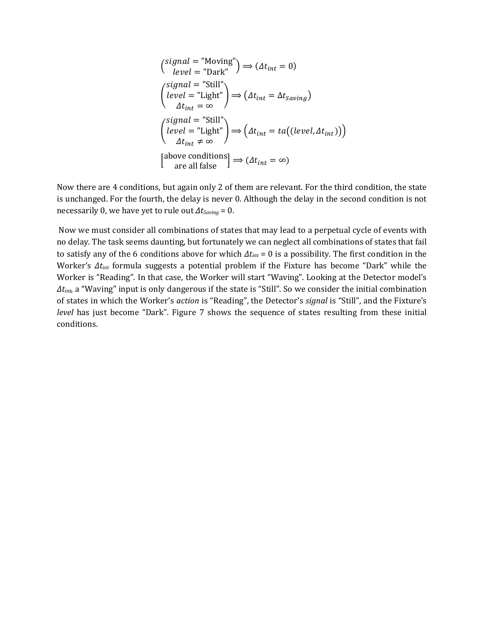$$
\begin{aligned}\n\left(\n\begin{array}{c}\n\text{signal} = \text{"Moving"} \\
\text{level} = \text{"Dark"}\n\end{array}\right) &\Rightarrow (\Delta t_{int} = 0) \\
\left(\n\begin{array}{c}\n\text{signal} = \text{"Still"} \\
\text{level} = \text{"Light"}\n\end{array}\right) &\Rightarrow (\Delta t_{int} = \Delta t_{saving}) \\
\Delta t_{int} = \infty\n\end{aligned}
$$
\n
$$
\begin{aligned}\n\left(\n\begin{array}{c}\n\text{signal} = \text{"Still"} \\
\text{level} = \text{"Light"}\n\end{array}\right) &\Rightarrow \left(\Delta t_{int} = ta((level, \Delta t_{int}))\right) \\
\Delta t_{int} \neq \infty\n\end{aligned}
$$
\n
$$
\begin{aligned}\n\text{above conditions} \\
\text{are all false}\n\end{aligned}\n\Rightarrow (\Delta t_{int} = \infty)
$$

Now there are 4 conditions, but again only 2 of them are relevant. For the third condition, the state is unchanged. For the fourth, the delay is never 0. Although the delay in the second condition is not necessarily 0, we have yet to rule out *ΔtSaving* = 0.

 Now we must consider all combinations of states that may lead to a perpetual cycle of events with no delay. The task seems daunting, but fortunately we can neglect all combinations of states that fail to satisfy any of the 6 conditions above for which *Δtint* = 0 is a possibility. The first condition in the Worker's *Δtint* formula suggests a potential problem if the Fixture has become "Dark" while the Worker is "Reading". In that case, the Worker will start "Waving". Looking at the Detector model's *Δtint*, a "Waving" input is only dangerous if the state is "Still". So we consider the initial combination of states in which the Worker's *action* is "Reading", the Detector's *signal* is "Still", and the Fixture's *level* has just become "Dark". Figure 7 shows the sequence of states resulting from these initial conditions.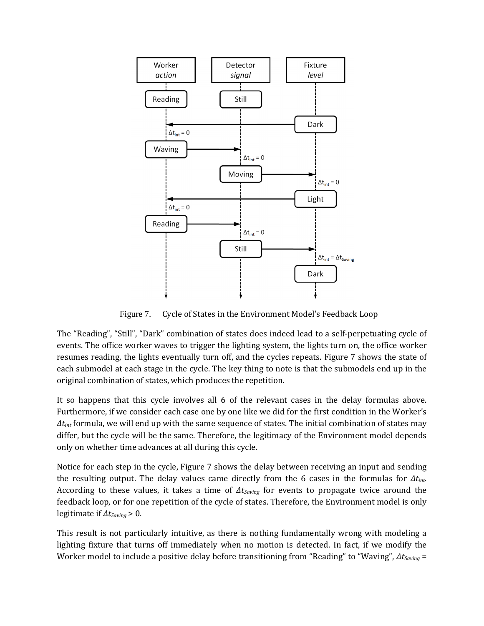

Figure 7. Cycle of States in the Environment Model's Feedback Loop

The "Reading", "Still", "Dark" combination of states does indeed lead to a self-perpetuating cycle of events. The office worker waves to trigger the lighting system, the lights turn on, the office worker resumes reading, the lights eventually turn off, and the cycles repeats. Figure 7 shows the state of each submodel at each stage in the cycle. The key thing to note is that the submodels end up in the original combination of states, which produces the repetition.

It so happens that this cycle involves all 6 of the relevant cases in the delay formulas above. Furthermore, if we consider each case one by one like we did for the first condition in the Worker's *Δtint* formula, we will end up with the same sequence of states. The initial combination of states may differ, but the cycle will be the same. Therefore, the legitimacy of the Environment model depends only on whether time advances at all during this cycle.

Notice for each step in the cycle, Figure 7 shows the delay between receiving an input and sending the resulting output. The delay values came directly from the 6 cases in the formulas for *Δtint*. According to these values, it takes a time of *ΔtSaving* for events to propagate twice around the feedback loop, or for one repetition of the cycle of states. Therefore, the Environment model is only legitimate if *ΔtSaving* > 0.

This result is not particularly intuitive, as there is nothing fundamentally wrong with modeling a lighting fixture that turns off immediately when no motion is detected. In fact, if we modify the Worker model to include a positive delay before transitioning from "Reading" to "Waving", *ΔtSaving* =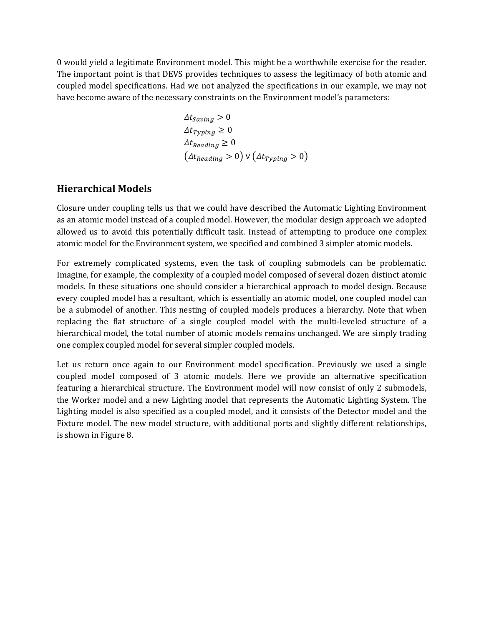0 would yield a legitimate Environment model. This might be a worthwhile exercise for the reader. The important point is that DEVS provides techniques to assess the legitimacy of both atomic and coupled model specifications. Had we not analyzed the specifications in our example, we may not have become aware of the necessary constraints on the Environment model's parameters:

$$
\Delta t_{Saving} > 0
$$
  
\n
$$
\Delta t_{Typing} \ge 0
$$
  
\n
$$
\Delta t_{Reading} \ge 0
$$
  
\n
$$
(\Delta t_{Reading} > 0) \vee (\Delta t_{Typing} > 0)
$$

# **Hierarchical Models**

Closure under coupling tells us that we could have described the Automatic Lighting Environment as an atomic model instead of a coupled model. However, the modular design approach we adopted allowed us to avoid this potentially difficult task. Instead of attempting to produce one complex atomic model for the Environment system, we specified and combined 3 simpler atomic models.

For extremely complicated systems, even the task of coupling submodels can be problematic. Imagine, for example, the complexity of a coupled model composed of several dozen distinct atomic models. In these situations one should consider a hierarchical approach to model design. Because every coupled model has a resultant, which is essentially an atomic model, one coupled model can be a submodel of another. This nesting of coupled models produces a hierarchy. Note that when replacing the flat structure of a single coupled model with the multi-leveled structure of a hierarchical model, the total number of atomic models remains unchanged. We are simply trading one complex coupled model for several simpler coupled models.

Let us return once again to our Environment model specification. Previously we used a single coupled model composed of 3 atomic models. Here we provide an alternative specification featuring a hierarchical structure. The Environment model will now consist of only 2 submodels, the Worker model and a new Lighting model that represents the Automatic Lighting System. The Lighting model is also specified as a coupled model, and it consists of the Detector model and the Fixture model. The new model structure, with additional ports and slightly different relationships, is shown in Figure 8.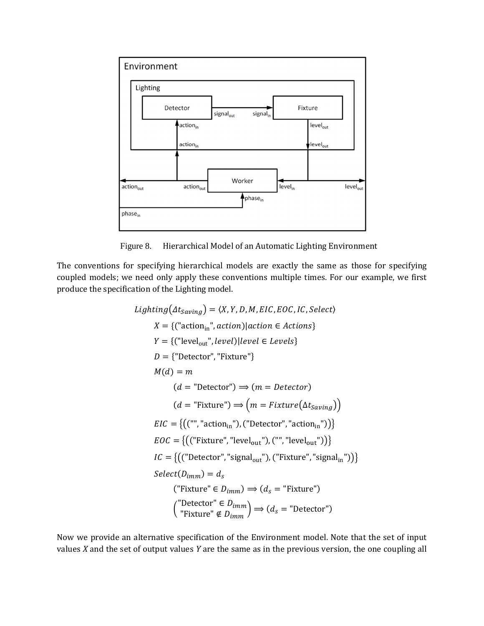

Figure 8. Hierarchical Model of an Automatic Lighting Environment

The conventions for specifying hierarchical models are exactly the same as those for specifying coupled models; we need only apply these conventions multiple times. For our example, we first produce the specification of the Lighting model.

*Lighting*(
$$
\Delta t_{Saving}
$$
) =  $\langle X, Y, D, M, EIC, EOC, IC, Select \rangle$   
\n $X = \{("actionin", action)|action \in Actions\}$   
\n $Y = \{("levelout", level)|level \in Levels\}$   
\n $D = \{ "Detector", "Fixture"\}$   
\n $M(d) = m$   
\n $(d = "Detector") \Rightarrow (m = detector)$   
\n $(d = "Fixture") \Rightarrow (m = Fixture(\Delta t_{Saving}))$   
\n $EIC = \{(("", "actionin"), ("Detector", "actionin"))\}$   
\n $EOC = \{(("Fixture", "levelout"), ("", "levelout"))\}$   
\n $IC = \{(("Detector", "signalout"), ("Fixture", "signalin"))\}$   
\n $Select(D_{imm}) = d_s$   
\n $("Fixture" \in D_{imm}) \Rightarrow (d_s = "Fixture")$   
\n $("Püinter \notin D_{imm}) \Rightarrow (d_s = "Detector")$ 

Now we provide an alternative specification of the Environment model. Note that the set of input values *X* and the set of output values *Y* are the same as in the previous version, the one coupling all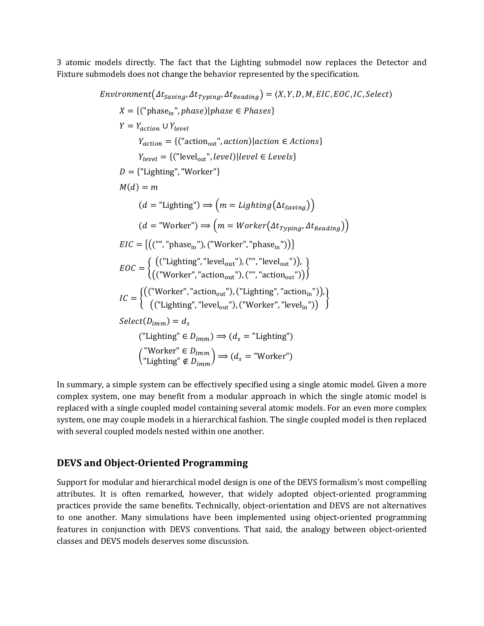3 atomic models directly. The fact that the Lighting submodel now replaces the Detector and Fixture submodels does not change the behavior represented by the specification.

 $Environment(\Delta t_{Savina}, \Delta t_{Tvolina}, \Delta t_{Reading}) = \langle X, Y, D, M, EIC, EOC, IC, Select \rangle$  $X = \{('phase_{in}', phase) | phase \in Phases\}$  $Y = Y_{action} \cup Y_{level}$  $Y_{action} = \{("action_{out}"', action)|action \in Actions\}$  $Y_{level} = \{("level_{out}" , level)} | level \in Levels\}$  $D = \{$ "Lighting", "Worker"}  $M(d) = m$  $(d = "Lighting") \Longrightarrow (m = Lighting(\Delta t_{Savina}))$  $(d = "Worker") \Longrightarrow (m = Worker(\Delta t_{Tvping}, \Delta t_{Reading}))$  $EIC = \{((\text{""}, \text{"phase}_{\text{in}}"), (\text{``Worker''}, \text{"phase}_{\text{in}}")\}$  2´™ µ 5T"Lighting", "level¶·¸"U, T"", "levelout"UC,  $((\text{"Worker", "action}_{out}"), (\text{"", "action}_{out}"))$  $IC = \left\{ \begin{matrix} (\text{``Worker''}, \text{''action}_{\text{out}}), (\text{``Lighting''}, \text{''action}_{\text{in}})), \\ (\text{``U is arbitrary''}, \text{''oxol''}, \text{''box''} and \text{'''}), \end{matrix} \right\}$  $\left($  ("Lighting", "level<sub>out</sub>"), ("Worker", "level<sub>in</sub>"))  $\left(\right)$  $Select(D_{imm}) = d_s$  $("Lighting" \in D_{imm}) \implies (d_s = "Lighting")$  $\left( \begin{array}{l} \text{``Worker''} \in D_{imm} \ \text{``I.jothting''} ∉ D \end{array} \right).$ "Lighting" ∉  $\lim_{m \to \infty}$   $\Rightarrow$   $(d_s =$  "Worker")

In summary, a simple system can be effectively specified using a single atomic model. Given a more complex system, one may benefit from a modular approach in which the single atomic model is replaced with a single coupled model containing several atomic models. For an even more complex system, one may couple models in a hierarchical fashion. The single coupled model is then replaced with several coupled models nested within one another.

#### **DEVS and Object-Oriented Programming**

Support for modular and hierarchical model design is one of the DEVS formalism's most compelling attributes. It is often remarked, however, that widely adopted object-oriented programming practices provide the same benefits. Technically, object-orientation and DEVS are not alternatives to one another. Many simulations have been implemented using object-oriented programming features in conjunction with DEVS conventions. That said, the analogy between object-oriented classes and DEVS models deserves some discussion.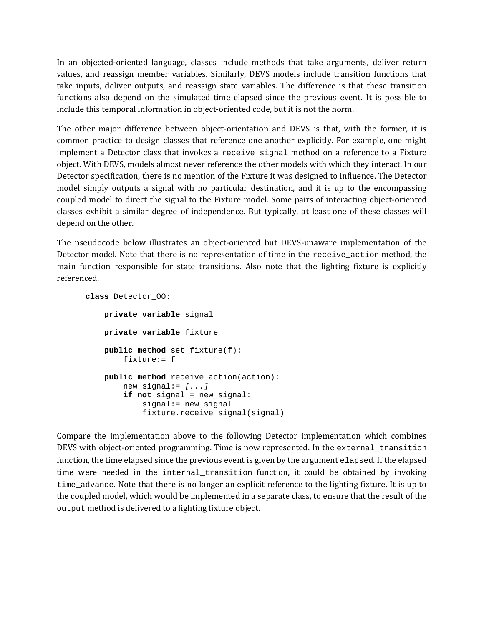In an objected-oriented language, classes include methods that take arguments, deliver return values, and reassign member variables. Similarly, DEVS models include transition functions that take inputs, deliver outputs, and reassign state variables. The difference is that these transition functions also depend on the simulated time elapsed since the previous event. It is possible to include this temporal information in object-oriented code, but it is not the norm.

The other major difference between object-orientation and DEVS is that, with the former, it is common practice to design classes that reference one another explicitly. For example, one might implement a Detector class that invokes a receive\_signal method on a reference to a Fixture object. With DEVS, models almost never reference the other models with which they interact. In our Detector specification, there is no mention of the Fixture it was designed to influence. The Detector model simply outputs a signal with no particular destination, and it is up to the encompassing coupled model to direct the signal to the Fixture model. Some pairs of interacting object-oriented classes exhibit a similar degree of independence. But typically, at least one of these classes will depend on the other.

The pseudocode below illustrates an object-oriented but DEVS-unaware implementation of the Detector model. Note that there is no representation of time in the receive\_action method, the main function responsible for state transitions. Also note that the lighting fixture is explicitly referenced.

```
class Detector_OO: 
     private variable signal 
     private variable fixture 
     public method set_fixture(f): 
         fixture:= f 
     public method receive_action(action): 
        new\_signal := [...] if not signal = new_signal: 
              signal:= new_signal 
              fixture.receive_signal(signal)
```
Compare the implementation above to the following Detector implementation which combines DEVS with object-oriented programming. Time is now represented. In the external\_transition function, the time elapsed since the previous event is given by the argument elapsed. If the elapsed time were needed in the internal\_transition function, it could be obtained by invoking time\_advance. Note that there is no longer an explicit reference to the lighting fixture. It is up to the coupled model, which would be implemented in a separate class, to ensure that the result of the output method is delivered to a lighting fixture object.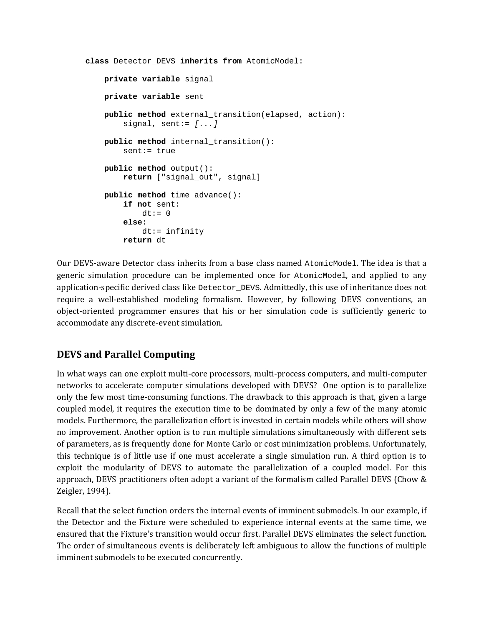```
class Detector_DEVS inherits from AtomicModel: 
     private variable signal 
     private variable sent 
     public method external_transition(elapsed, action): 
        signal, sent:= [...] public method internal_transition(): 
         sent:= true 
     public method output(): 
         return ["signal_out", signal] 
     public method time_advance(): 
         if not sent: 
             dt := 0 else: 
             dt:= infinity 
         return dt
```
Our DEVS-aware Detector class inherits from a base class named AtomicModel. The idea is that a generic simulation procedure can be implemented once for AtomicModel, and applied to any application-specific derived class like Detector DEVS. Admittedly, this use of inheritance does not require a well-established modeling formalism. However, by following DEVS conventions, an object-oriented programmer ensures that his or her simulation code is sufficiently generic to accommodate any discrete-event simulation.

# **DEVS and Parallel Computing**

In what ways can one exploit multi-core processors, multi-process computers, and multi-computer networks to accelerate computer simulations developed with DEVS? One option is to parallelize only the few most time-consuming functions. The drawback to this approach is that, given a large coupled model, it requires the execution time to be dominated by only a few of the many atomic models. Furthermore, the parallelization effort is invested in certain models while others will show no improvement. Another option is to run multiple simulations simultaneously with different sets of parameters, as is frequently done for Monte Carlo or cost minimization problems. Unfortunately, this technique is of little use if one must accelerate a single simulation run. A third option is to exploit the modularity of DEVS to automate the parallelization of a coupled model. For this approach, DEVS practitioners often adopt a variant of the formalism called Parallel DEVS (Chow & Zeigler, 1994).

Recall that the select function orders the internal events of imminent submodels. In our example, if the Detector and the Fixture were scheduled to experience internal events at the same time, we ensured that the Fixture's transition would occur first. Parallel DEVS eliminates the select function. The order of simultaneous events is deliberately left ambiguous to allow the functions of multiple imminent submodels to be executed concurrently.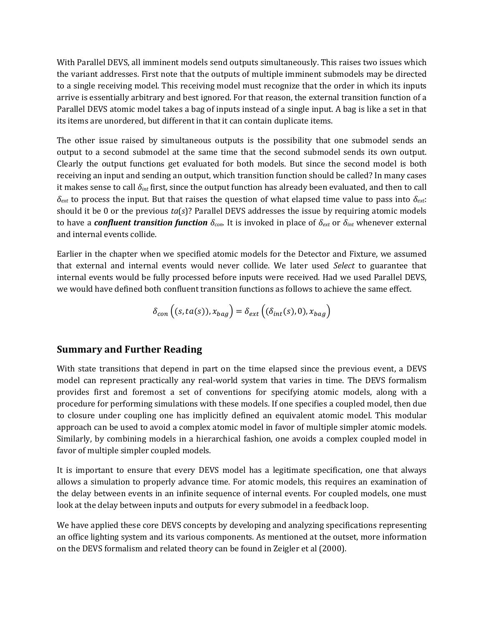With Parallel DEVS, all imminent models send outputs simultaneously. This raises two issues which the variant addresses. First note that the outputs of multiple imminent submodels may be directed to a single receiving model. This receiving model must recognize that the order in which its inputs arrive is essentially arbitrary and best ignored. For that reason, the external transition function of a Parallel DEVS atomic model takes a bag of inputs instead of a single input. A bag is like a set in that its items are unordered, but different in that it can contain duplicate items.

The other issue raised by simultaneous outputs is the possibility that one submodel sends an output to a second submodel at the same time that the second submodel sends its own output. Clearly the output functions get evaluated for both models. But since the second model is both receiving an input and sending an output, which transition function should be called? In many cases it makes sense to call *δint* first, since the output function has already been evaluated, and then to call *δext* to process the input. But that raises the question of what elapsed time value to pass into *δext*: should it be 0 or the previous *ta*(*s*)? Parallel DEVS addresses the issue by requiring atomic models to have a *confluent transition function δcon*. It is invoked in place of *δext* or *δint* whenever external and internal events collide.

Earlier in the chapter when we specified atomic models for the Detector and Fixture, we assumed that external and internal events would never collide. We later used *Select* to guarantee that internal events would be fully processed before inputs were received. Had we used Parallel DEVS, we would have defined both confluent transition functions as follows to achieve the same effect.

$$
\delta_{con}((s, ta(s)), x_{bag}) = \delta_{ext}((\delta_{int}(s), 0), x_{bag})
$$

# **Summary and Further Reading**

With state transitions that depend in part on the time elapsed since the previous event, a DEVS model can represent practically any real-world system that varies in time. The DEVS formalism provides first and foremost a set of conventions for specifying atomic models, along with a procedure for performing simulations with these models. If one specifies a coupled model, then due to closure under coupling one has implicitly defined an equivalent atomic model. This modular approach can be used to avoid a complex atomic model in favor of multiple simpler atomic models. Similarly, by combining models in a hierarchical fashion, one avoids a complex coupled model in favor of multiple simpler coupled models.

It is important to ensure that every DEVS model has a legitimate specification, one that always allows a simulation to properly advance time. For atomic models, this requires an examination of the delay between events in an infinite sequence of internal events. For coupled models, one must look at the delay between inputs and outputs for every submodel in a feedback loop.

We have applied these core DEVS concepts by developing and analyzing specifications representing an office lighting system and its various components. As mentioned at the outset, more information on the DEVS formalism and related theory can be found in Zeigler et al (2000).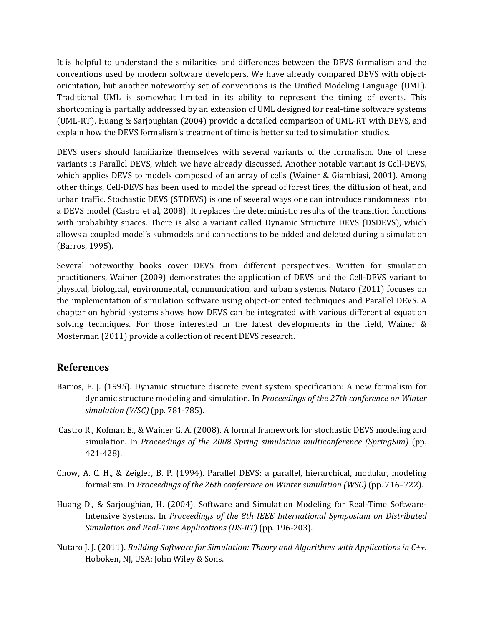It is helpful to understand the similarities and differences between the DEVS formalism and the conventions used by modern software developers. We have already compared DEVS with objectorientation, but another noteworthy set of conventions is the Unified Modeling Language (UML). Traditional UML is somewhat limited in its ability to represent the timing of events. This shortcoming is partially addressed by an extension of UML designed for real-time software systems (UML-RT). Huang & Sarjoughian (2004) provide a detailed comparison of UML-RT with DEVS, and explain how the DEVS formalism's treatment of time is better suited to simulation studies.

DEVS users should familiarize themselves with several variants of the formalism. One of these variants is Parallel DEVS, which we have already discussed. Another notable variant is Cell-DEVS, which applies DEVS to models composed of an array of cells (Wainer & Giambiasi, 2001). Among other things, Cell-DEVS has been used to model the spread of forest fires, the diffusion of heat, and urban traffic. Stochastic DEVS (STDEVS) is one of several ways one can introduce randomness into a DEVS model (Castro et al, 2008). It replaces the deterministic results of the transition functions with probability spaces. There is also a variant called Dynamic Structure DEVS (DSDEVS), which allows a coupled model's submodels and connections to be added and deleted during a simulation (Barros, 1995).

Several noteworthy books cover DEVS from different perspectives. Written for simulation practitioners, Wainer (2009) demonstrates the application of DEVS and the Cell-DEVS variant to physical, biological, environmental, communication, and urban systems. Nutaro (2011) focuses on the implementation of simulation software using object-oriented techniques and Parallel DEVS. A chapter on hybrid systems shows how DEVS can be integrated with various differential equation solving techniques. For those interested in the latest developments in the field, Wainer & Mosterman (2011) provide a collection of recent DEVS research.

#### **References**

- Barros, F. J. (1995). Dynamic structure discrete event system specification: A new formalism for dynamic structure modeling and simulation. In *Proceedings of the 27th conference on Winter simulation (WSC)* (pp. 781-785).
- Castro R., Kofman E., & Wainer G. A. (2008). A formal framework for stochastic DEVS modeling and simulation. In *Proceedings of the 2008 Spring simulation multiconference (SpringSim)* (pp. 421-428).
- Chow, A. C. H., & Zeigler, B. P. (1994). Parallel DEVS: a parallel, hierarchical, modular, modeling formalism. In *Proceedings of the 26th conference on Winter simulation (WSC)* (pp. 716–722).
- Huang D., & Sarjoughian, H. (2004). Software and Simulation Modeling for Real-Time Software-Intensive Systems. In *Proceedings of the 8th IEEE International Symposium on Distributed Simulation and Real-Time Applications (DS-RT)* (pp. 196-203).
- Nutaro J. J. (2011). *Building Software for Simulation: Theory and Algorithms with Applications in C++*. Hoboken, NJ, USA: John Wiley & Sons.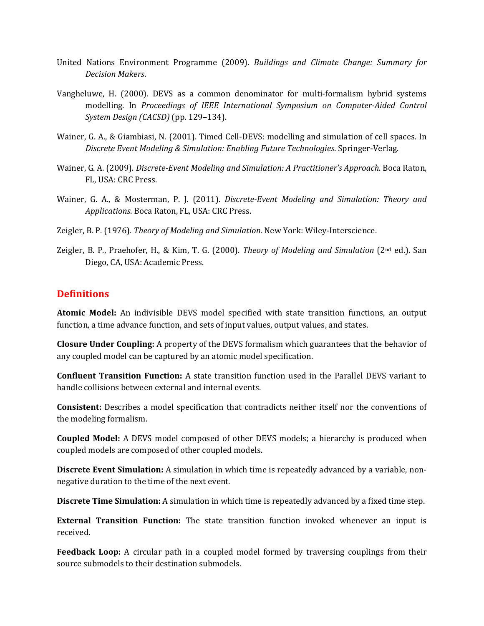- United Nations Environment Programme (2009). *Buildings and Climate Change: Summary for Decision Makers*.
- Vangheluwe, H. (2000). DEVS as a common denominator for multi-formalism hybrid systems modelling. In *Proceedings of IEEE International Symposium on Computer-Aided Control System Design (CACSD)* (pp. 129–134).
- Wainer, G. A., & Giambiasi, N. (2001). Timed Cell-DEVS: modelling and simulation of cell spaces. In *Discrete Event Modeling & Simulation: Enabling Future Technologies*. Springer-Verlag.
- Wainer, G. A. (2009). *Discrete-Event Modeling and Simulation: A Practitioner's Approach*. Boca Raton, FL, USA: CRC Press.
- Wainer, G. A., & Mosterman, P. J. (2011). *Discrete-Event Modeling and Simulation: Theory and Applications*. Boca Raton, FL, USA: CRC Press.
- Zeigler, B. P. (1976). *Theory of Modeling and Simulation*. New York: Wiley-Interscience.
- Zeigler, B. P., Praehofer, H., & Kim, T. G. (2000). *Theory of Modeling and Simulation* (2nd ed.). San Diego, CA, USA: Academic Press.

# **Definitions**

**Atomic Model:** An indivisible DEVS model specified with state transition functions, an output function, a time advance function, and sets of input values, output values, and states.

**Closure Under Coupling:** A property of the DEVS formalism which guarantees that the behavior of any coupled model can be captured by an atomic model specification.

**Confluent Transition Function:** A state transition function used in the Parallel DEVS variant to handle collisions between external and internal events.

**Consistent:** Describes a model specification that contradicts neither itself nor the conventions of the modeling formalism.

**Coupled Model:** A DEVS model composed of other DEVS models; a hierarchy is produced when coupled models are composed of other coupled models.

**Discrete Event Simulation:** A simulation in which time is repeatedly advanced by a variable, nonnegative duration to the time of the next event.

**Discrete Time Simulation:** A simulation in which time is repeatedly advanced by a fixed time step.

**External Transition Function:** The state transition function invoked whenever an input is received.

**Feedback Loop:** A circular path in a coupled model formed by traversing couplings from their source submodels to their destination submodels.